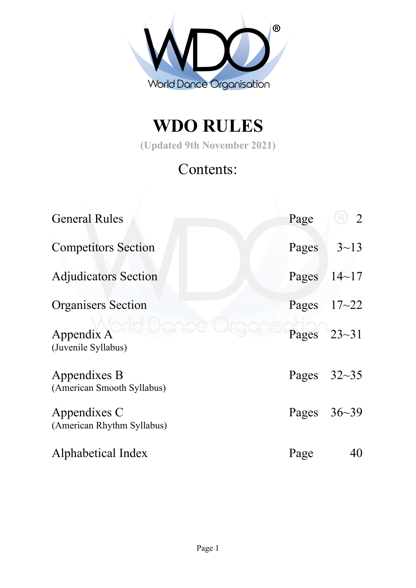

# **WDO RULES**

**(Updated 9th November 2021)**

# Contents:

| <b>General Rules</b>                       | Page          | $\overline{2}$ |
|--------------------------------------------|---------------|----------------|
| <b>Competitors Section</b>                 | Pages         | $3 - 13$       |
| <b>Adjudicators Section</b>                | Pages         | $14 - 17$      |
| <b>Organisers</b> Section                  | Pages $17-22$ |                |
| Appendix A<br>(Juvenile Syllabus)          |               | Pages $23-31$  |
| Appendixes B<br>(American Smooth Syllabus) | Pages         | $32 - 35$      |
| Appendixes C<br>(American Rhythm Syllabus) | Pages         | $36 - 39$      |
| Alphabetical Index                         | Page          | 40             |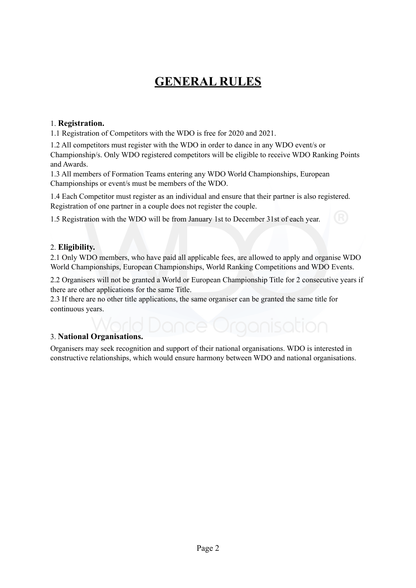# **GENERAL RULES**

#### 1. **Registration.**

1.1 Registration of Competitors with the WDO is free for 2020 and 2021.

1.2 All competitors must register with the WDO in order to dance in any WDO event/s or Championship/s. Only WDO registered competitors will be eligible to receive WDO Ranking Points and Awards.

1.3 All members of Formation Teams entering any WDO World Championships, European Championships or event/s must be members of the WDO.

1.4 Each Competitor must register as an individual and ensure that their partner is also registered. Registration of one partner in a couple does not register the couple.

1.5 Registration with the WDO will be from January 1st to December 31st of each year.

#### 2. **Eligibility.**

2.1 Only WDO members, who have paid all applicable fees, are allowed to apply and organise WDO World Championships, European Championships, World Ranking Competitions and WDO Events.

2.2 Organisers will not be granted a World or European Championship Title for 2 consecutive years if there are other applications for the same Title.

2.3 If there are no other title applications, the same organiser can be granted the same title for continuous years.

#### 3. **National Organisations.**

Organisers may seek recognition and support of their national organisations. WDO is interested in constructive relationships, which would ensure harmony between WDO and national organisations.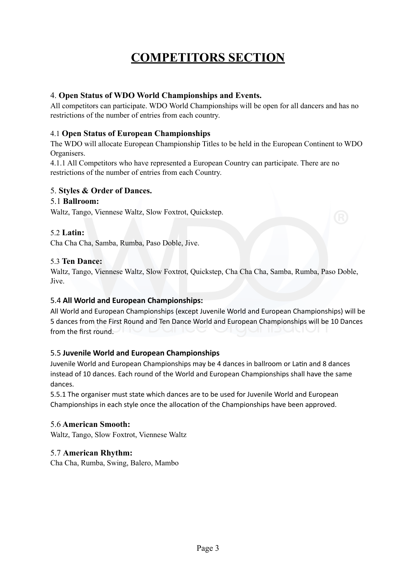# **COMPETITORS SECTION**

#### 4. **Open Status of WDO World Championships and Events.**

All competitors can participate. WDO World Championships will be open for all dancers and has no restrictions of the number of entries from each country.

#### 4.1 **Open Status of European Championships**

The WDO will allocate European Championship Titles to be held in the European Continent to WDO Organisers.

4.1.1 All Competitors who have represented a European Country can participate. There are no restrictions of the number of entries from each Country.

#### 5. **Styles & Order of Dances.**

#### 5.1 **Ballroom:**

Waltz, Tango, Viennese Waltz, Slow Foxtrot, Quickstep.

#### 5.2 **Latin:**

Cha Cha Cha, Samba, Rumba, Paso Doble, Jive.

#### 5.3 **Ten Dance:**

Waltz, Tango, Viennese Waltz, Slow Foxtrot, Quickstep, Cha Cha Cha, Samba, Rumba, Paso Doble, Jive.

#### 5.4 **All World and European Championships:**

All World and European Championships (except Juvenile World and European Championships) will be 5 dances from the First Round and Ten Dance World and European Championships will be 10 Dances from the first round.

#### 5.5 **Juvenile World and European Championships**

Juvenile World and European Championships may be 4 dances in ballroom or Latin and 8 dances instead of 10 dances. Each round of the World and European Championships shall have the same dances.

5.5.1 The organiser must state which dances are to be used for Juvenile World and European Championships in each style once the allocation of the Championships have been approved.

#### 5.6 **American Smooth:**

Waltz, Tango, Slow Foxtrot, Viennese Waltz

#### 5.7 **American Rhythm:**

Cha Cha, Rumba, Swing, Balero, Mambo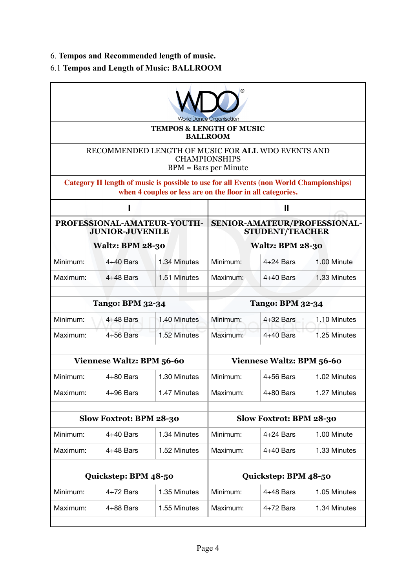### 6. **Tempos and Recommended length of music.**

## 6.1 **Tempos and Length of Music: BALLROOM**

| World Dance Organisation                                                                              |                                                        |                                                                                                                                                       |                           |              |              |
|-------------------------------------------------------------------------------------------------------|--------------------------------------------------------|-------------------------------------------------------------------------------------------------------------------------------------------------------|---------------------------|--------------|--------------|
|                                                                                                       |                                                        | <b>TEMPOS &amp; LENGTH OF MUSIC</b>                                                                                                                   | <b>BALLROOM</b>           |              |              |
| RECOMMENDED LENGTH OF MUSIC FOR ALL WDO EVENTS AND<br><b>CHAMPIONSHIPS</b><br>$BPM = Bars$ per Minute |                                                        |                                                                                                                                                       |                           |              |              |
|                                                                                                       |                                                        | Category II length of music is possible to use for all Events (non World Championships)<br>when 4 couples or less are on the floor in all categories. |                           |              |              |
|                                                                                                       |                                                        |                                                                                                                                                       | Ш                         |              |              |
| PROFESSIONAL-AMATEUR-YOUTH-<br><b>JUNIOR-JUVENILE</b>                                                 |                                                        | SENIOR-AMATEUR/PROFESSIONAL-<br><b>STUDENT/TEACHER</b>                                                                                                |                           |              |              |
|                                                                                                       | <b>Waltz: BPM 28-30</b>                                |                                                                                                                                                       | <b>Waltz: BPM 28-30</b>   |              |              |
| Minimum:                                                                                              | $4+40$ Bars                                            | 1.34 Minutes                                                                                                                                          | Minimum:                  | $4+24$ Bars  | 1.00 Minute  |
| Maximum:                                                                                              | $4+48$ Bars                                            | 1.51 Minutes                                                                                                                                          | Maximum:                  | $4+40$ Bars  | 1.33 Minutes |
| <b>Tango: BPM 32-34</b>                                                                               |                                                        | <b>Tango: BPM 32-34</b>                                                                                                                               |                           |              |              |
| Minimum:                                                                                              | $4+48$ Bars                                            | 1.40 Minutes                                                                                                                                          | Minimum:                  | $4+32$ Bars  | 1.10 Minutes |
| Maximum:                                                                                              | $4+56$ Bars                                            | 1.52 Minutes                                                                                                                                          | Maximum:                  | $4+40$ Bars  | 1.25 Minutes |
|                                                                                                       |                                                        |                                                                                                                                                       |                           |              |              |
|                                                                                                       | <b>Viennese Waltz: BPM 56-60</b>                       |                                                                                                                                                       | Viennese Waltz: BPM 56-60 |              |              |
| Minimum:                                                                                              | $4+80$ Bars                                            | 1.30 Minutes                                                                                                                                          | Minimum:                  | $4+56$ Bars  | 1.02 Minutes |
| Maximum:                                                                                              | $4+96$ Bars                                            | 1.47 Minutes                                                                                                                                          | Maximum:                  | $4+80$ Bars  | 1.27 Minutes |
| Slow Foxtrot: BPM 28-30                                                                               |                                                        | Slow Foxtrot: BPM 28-30                                                                                                                               |                           |              |              |
| Minimum:                                                                                              | $4+40$ Bars                                            | 1.34 Minutes                                                                                                                                          | Minimum:                  | $4+24$ Bars  | 1.00 Minute  |
| Maximum:                                                                                              | $4+48$ Bars                                            | 1.52 Minutes                                                                                                                                          | Maximum:                  | $4+40$ Bars  | 1.33 Minutes |
| Quickstep: BPM 48-50                                                                                  |                                                        |                                                                                                                                                       | Quickstep: BPM 48-50      |              |              |
| Minimum:                                                                                              | $4+72$ Bars<br>1.35 Minutes<br>Minimum:<br>$4+48$ Bars |                                                                                                                                                       |                           | 1.05 Minutes |              |
| Maximum:                                                                                              | $4+88$ Bars                                            | 1.55 Minutes                                                                                                                                          | Maximum:                  | $4+72$ Bars  | 1.34 Minutes |
|                                                                                                       |                                                        |                                                                                                                                                       |                           |              |              |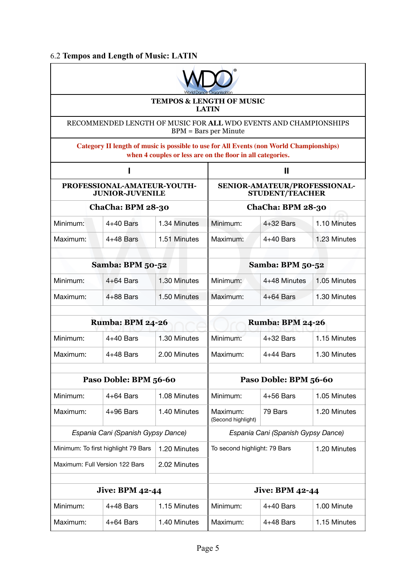#### 6.2 **Tempos and Length of Music: LATIN**



**TEMPOS & LENGTH OF MUSIC LATIN**

RECOMMENDED LENGTH OF MUSIC FOR **ALL** WDO EVENTS AND CHAMPIONSHIPS BPM = Bars per Minute

**Category II length of music is possible to use for All Events (non World Championships) when 4 couples or less are on the floor in all categories.**

|                                                       |                       | $\mathbf{I}$                                           |                                |              |              |  |
|-------------------------------------------------------|-----------------------|--------------------------------------------------------|--------------------------------|--------------|--------------|--|
| PROFESSIONAL-AMATEUR-YOUTH-<br><b>JUNIOR-JUVENILE</b> |                       | SENIOR-AMATEUR/PROFESSIONAL-<br><b>STUDENT/TEACHER</b> |                                |              |              |  |
| ChaCha: BPM 28-30                                     |                       | ChaCha: BPM 28-30                                      |                                |              |              |  |
| Minimum:                                              | $4+40$ Bars           | 1.34 Minutes                                           | Minimum:                       | $4+32$ Bars  | 1.10 Minutes |  |
| Maximum:                                              | $4+48$ Bars           | 1.51 Minutes                                           | Maximum:                       | $4+40$ Bars  | 1.23 Minutes |  |
| <b>Samba: BPM 50-52</b>                               |                       | <b>Samba: BPM 50-52</b>                                |                                |              |              |  |
| Minimum:                                              | $4+64$ Bars           | 1.30 Minutes                                           | Minimum:                       | 4+48 Minutes | 1.05 Minutes |  |
| Maximum:                                              | $4+88$ Bars           | 1.50 Minutes                                           | Maximum:                       | $4+64$ Bars  | 1.30 Minutes |  |
| <b>Rumba: BPM 24-26</b>                               |                       | <b>Rumba: BPM 24-26</b>                                |                                |              |              |  |
| Minimum:                                              | $4+40$ Bars           | 1.30 Minutes                                           | Minimum:                       | $4+32$ Bars  | 1.15 Minutes |  |
| Maximum:                                              | $4+48$ Bars           | 2.00 Minutes                                           | Maximum:                       | $4+44$ Bars  | 1.30 Minutes |  |
|                                                       | Paso Doble: BPM 56-60 |                                                        | Paso Doble: BPM 56-60          |              |              |  |
| Minimum:                                              | $4+64$ Bars           | 1.08 Minutes                                           | Minimum:                       | $4+56$ Bars  | 1.05 Minutes |  |
| Maximum:                                              | $4+96$ Bars           | 1.40 Minutes                                           | Maximum:<br>(Second highlight) | 79 Bars      | 1.20 Minutes |  |
| Espania Cani (Spanish Gypsy Dance)                    |                       | Espania Cani (Spanish Gypsy Dance)                     |                                |              |              |  |
| Minimum: To first highlight 79 Bars<br>1.20 Minutes   |                       | To second highlight: 79 Bars<br>1.20 Minutes           |                                |              |              |  |
| Maximum: Full Version 122 Bars<br>2.02 Minutes        |                       |                                                        |                                |              |              |  |
|                                                       |                       |                                                        |                                |              |              |  |
| <b>Jive: BPM 42-44</b>                                |                       |                                                        | <b>Jive: BPM 42-44</b>         |              |              |  |
| Minimum:                                              | $4+48$ Bars           | 1.15 Minutes                                           | Minimum:                       | $4+40$ Bars  | 1.00 Minute  |  |
| Maximum:                                              | $4+64$ Bars           | 1.40 Minutes                                           | Maximum:                       | $4+48$ Bars  | 1.15 Minutes |  |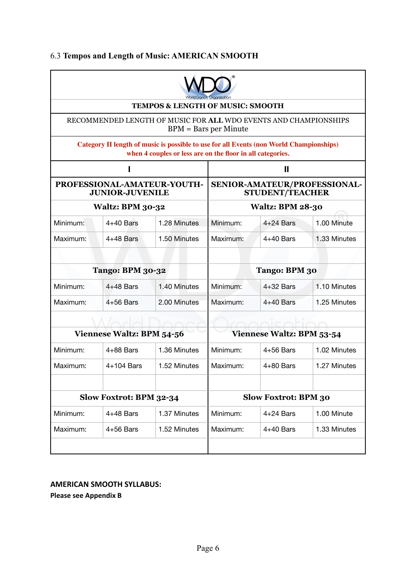### 6.3 **Tempos and Length of Music: AMERICAN SMOOTH**

|                                                                                                                                                       |                                                                                             | <b>TEMPOS &amp; LENGTH OF MUSIC: SMOOTH</b>            |                             |             |              |  |
|-------------------------------------------------------------------------------------------------------------------------------------------------------|---------------------------------------------------------------------------------------------|--------------------------------------------------------|-----------------------------|-------------|--------------|--|
|                                                                                                                                                       | RECOMMENDED LENGTH OF MUSIC FOR ALL WDO EVENTS AND CHAMPIONSHIPS<br>$BPM = Bars$ per Minute |                                                        |                             |             |              |  |
| Category II length of music is possible to use for all Events (non World Championships)<br>when 4 couples or less are on the floor in all categories. |                                                                                             |                                                        |                             |             |              |  |
|                                                                                                                                                       |                                                                                             | Ш                                                      |                             |             |              |  |
| PROFESSIONAL-AMATEUR-YOUTH-<br><b>JUNIOR-JUVENILE</b>                                                                                                 |                                                                                             | SENIOR-AMATEUR/PROFESSIONAL-<br><b>STUDENT/TEACHER</b> |                             |             |              |  |
|                                                                                                                                                       | <b>Waltz: BPM 30-32</b>                                                                     |                                                        | <b>Waltz: BPM 28-30</b>     |             |              |  |
| Minimum:                                                                                                                                              | $4+40$ Bars                                                                                 | 1.28 Minutes                                           | Minimum:                    | $4+24$ Bars | 1.00 Minute  |  |
| Maximum:                                                                                                                                              | $4+48$ Bars                                                                                 | 1.50 Minutes                                           | Maximum:                    | $4+40$ Bars | 1.33 Minutes |  |
|                                                                                                                                                       |                                                                                             |                                                        |                             |             |              |  |
|                                                                                                                                                       | <b>Tango: BPM 30-32</b>                                                                     |                                                        | Tango: BPM 30               |             |              |  |
| Minimum:                                                                                                                                              | $4+48$ Bars                                                                                 | 1.40 Minutes                                           | Minimum:                    | $4+32$ Bars | 1.10 Minutes |  |
| Maximum:                                                                                                                                              | $4+56$ Bars                                                                                 | 2.00 Minutes                                           | Maximum:                    | $4+40$ Bars | 1.25 Minutes |  |
|                                                                                                                                                       |                                                                                             |                                                        |                             |             |              |  |
| <b>Viennese Waltz: BPM 54-56</b>                                                                                                                      |                                                                                             | <b>Viennese Waltz: BPM 53-54</b>                       |                             |             |              |  |
| Minimum:                                                                                                                                              | $4+88$ Bars                                                                                 | 1.36 Minutes                                           | Minimum:                    | $4+56$ Bars | 1.02 Minutes |  |
| Maximum:                                                                                                                                              | 4+104 Bars                                                                                  | 1.52 Minutes                                           | Maximum:                    | $4+80$ Bars | 1.27 Minutes |  |
|                                                                                                                                                       |                                                                                             |                                                        |                             |             |              |  |
| Slow Foxtrot: BPM 32-34                                                                                                                               |                                                                                             |                                                        | <b>Slow Foxtrot: BPM 30</b> |             |              |  |
| Minimum:                                                                                                                                              | $4+48$ Bars                                                                                 | 1.37 Minutes                                           | Minimum:                    | $4+24$ Bars | 1.00 Minute  |  |
| Maximum:                                                                                                                                              | 4+56 Bars                                                                                   | 1.52 Minutes                                           | Maximum:                    | $4+40$ Bars | 1.33 Minutes |  |
|                                                                                                                                                       |                                                                                             |                                                        |                             |             |              |  |

#### **AMERICAN SMOOTH SYLLABUS:**

**Please see Appendix B**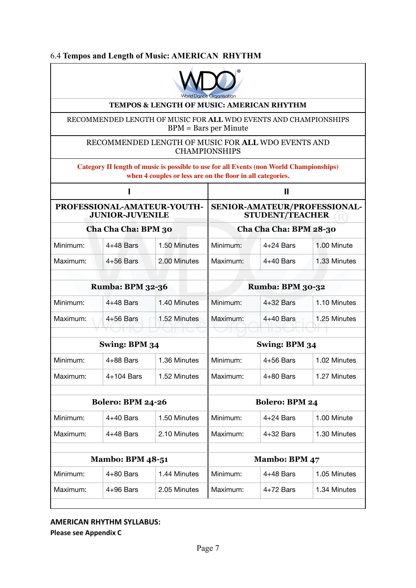#### 6.4 **Tempos and Length of Music: AMERICAN RHYTHM**



#### **TEMPOS & LENGTH OF MUSIC: AMERICAN RHYTHM**

RECOMMENDED LENGTH OF MUSIC FOR **ALL** WDO EVENTS AND CHAMPIONSHIPS BPM = Bars per Minute

#### RECOMMENDED LENGTH OF MUSIC FOR **ALL** WDO EVENTS AND CHAMPIONSHIPS

| Category II length of music is possible to use for all Events (non World Championships)<br>when 4 couples or less are on the floor in all categories. |             |                                                                                  |          |             |              |
|-------------------------------------------------------------------------------------------------------------------------------------------------------|-------------|----------------------------------------------------------------------------------|----------|-------------|--------------|
| ı                                                                                                                                                     |             | $\mathbf{I}$                                                                     |          |             |              |
| PROFESSIONAL-AMATEUR-YOUTH-<br><b>JUNIOR-JUVENILE</b><br>Cha Cha Cha: BPM 30                                                                          |             | SENIOR-AMATEUR/PROFESSIONAL-<br><b>STUDENT/TEACHER</b><br>Cha Cha Cha: BPM 28-30 |          |             |              |
|                                                                                                                                                       |             |                                                                                  |          |             | Minimum:     |
| Maximum:                                                                                                                                              | $4+56$ Bars | 2.00 Minutes                                                                     | Maximum: | $4+40$ Bars | 1.33 Minutes |
| <b>Rumba: BPM 32-36</b>                                                                                                                               |             | <b>Rumba: BPM 30-32</b>                                                          |          |             |              |
| Minimum:                                                                                                                                              | $4+48$ Bars | 1.40 Minutes                                                                     | Minimum: | $4+32$ Bars | 1.10 Minutes |
| Maximum:                                                                                                                                              | $4+56$ Bars | 1.52 Minutes                                                                     | Maximum: | $4+40$ Bars | 1.25 Minutes |
|                                                                                                                                                       |             |                                                                                  |          |             |              |
| Swing: BPM 34                                                                                                                                         |             | Swing: BPM 34                                                                    |          |             |              |
| Minimum:                                                                                                                                              | $4+88$ Bars | 1.36 Minutes                                                                     | Minimum: | $4+56$ Bars | 1.02 Minutes |
| Maximum:                                                                                                                                              | 4+104 Bars  | 1.52 Minutes                                                                     | Maximum: | $4+80$ Bars | 1.27 Minutes |
|                                                                                                                                                       |             |                                                                                  |          |             |              |
| <b>Bolero: BPM 24-26</b>                                                                                                                              |             | <b>Bolero: BPM 24</b>                                                            |          |             |              |
| Minimum:                                                                                                                                              | $4+40$ Bars | 1.50 Minutes                                                                     | Minimum: | $4+24$ Bars | 1.00 Minute  |
| Maximum:                                                                                                                                              | 4+48 Bars   | 2.10 Minutes                                                                     | Maximum: | $4+32$ Bars | 1.30 Minutes |
|                                                                                                                                                       |             |                                                                                  |          |             |              |
| <b>Mambo: BPM 48-51</b>                                                                                                                               |             | <b>Mambo: BPM 47</b>                                                             |          |             |              |
| Minimum:                                                                                                                                              | $4+80$ Bars | 1.44 Minutes                                                                     | Minimum: | $4+48$ Bars | 1.05 Minutes |
| Maximum:                                                                                                                                              | 4+96 Bars   | 2.05 Minutes                                                                     | Maximum: | $4+72$ Bars | 1.34 Minutes |
|                                                                                                                                                       |             |                                                                                  |          |             |              |

#### **AMERICAN RHYTHM SYLLABUS:**

**Please see Appendix C**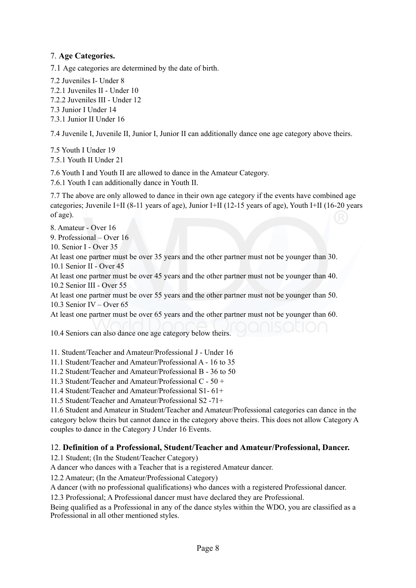#### 7. **Age Categories.**

7.1 Age categories are determined by the date of birth.

7.2 Juveniles I- Under 8

- 7.2.1 Juveniles II Under 10
- 7.2.2 Juveniles III Under 12
- 7.3 Junior I Under 14
- 7.3.1 Junior II Under 16

7.4 Juvenile I, Juvenile II, Junior I, Junior II can additionally dance one age category above theirs.

7.5 Youth I Under 19 7.5.1 Youth II Under 21

7.6 Youth I and Youth II are allowed to dance in the Amateur Category.

7.6.1 Youth I can additionally dance in Youth II.

7.7 The above are only allowed to dance in their own age category if the events have combined age categories; Juvenile I+II (8-11 years of age), Junior I+II (12-15 years of age), Youth I+II (16-20 years of age).

8. Amateur - Over 16

9. Professional – Over 16

10. Senior I - Over 35

At least one partner must be over 35 years and the other partner must not be younger than 30. 10.1 Senior II - Over 45

At least one partner must be over 45 years and the other partner must not be younger than 40. 10.2 Senior III - Over 55

At least one partner must be over 55 years and the other partner must not be younger than 50. 10.3 Senior IV – Over 65

At least one partner must be over 65 years and the other partner must not be younger than 60.

10.4 Seniors can also dance one age category below theirs.

11. Student/Teacher and Amateur/Professional J - Under 16

11.1 Student/Teacher and Amateur/Professional A - 16 to 35

11.2 Student/Teacher and Amateur/Professional B - 36 to 50

11.3 Student/Teacher and Amateur/Professional C - 50 +

11.4 Student/Teacher and Amateur/Professional S1- 61+

11.5 Student/Teacher and Amateur/Professional S2 -71+

11.6 Student and Amateur in Student/Teacher and Amateur/Professional categories can dance in the category below theirs but cannot dance in the category above theirs. This does not allow Category A couples to dance in the Category J Under 16 Events.

#### 12. **Definition of a Professional, Student/Teacher and Amateur/Professional, Dancer.**

12.1 Student; (In the Student/Teacher Category)

A dancer who dances with a Teacher that is a registered Amateur dancer.

12.2 Amateur; (In the Amateur/Professional Category)

A dancer (with no professional qualifications) who dances with a registered Professional dancer.

12.3 Professional; A Professional dancer must have declared they are Professional.

Being qualified as a Professional in any of the dance styles within the WDO, you are classified as a Professional in all other mentioned styles.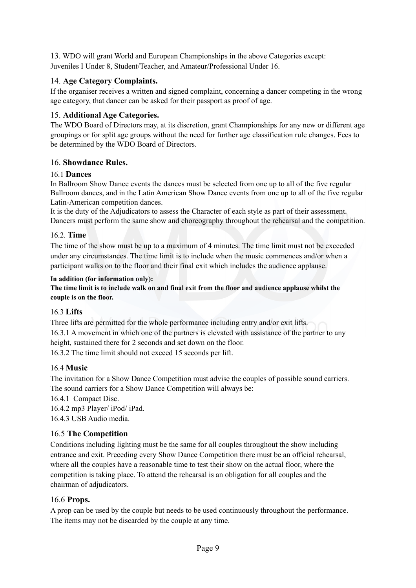13. WDO will grant World and European Championships in the above Categories except: Juveniles I Under 8, Student/Teacher, and Amateur/Professional Under 16.

#### 14. **Age Category Complaints.**

If the organiser receives a written and signed complaint, concerning a dancer competing in the wrong age category, that dancer can be asked for their passport as proof of age.

#### 15. **Additional Age Categories.**

The WDO Board of Directors may, at its discretion, grant Championships for any new or different age groupings or for split age groups without the need for further age classification rule changes. Fees to be determined by the WDO Board of Directors.

#### 16. **Showdance Rules.**

#### 16.1 **Dances**

In Ballroom Show Dance events the dances must be selected from one up to all of the five regular Ballroom dances, and in the Latin American Show Dance events from one up to all of the five regular Latin-American competition dances.

It is the duty of the Adjudicators to assess the Character of each style as part of their assessment. Dancers must perform the same show and choreography throughout the rehearsal and the competition.

#### 16.2. **Time**

The time of the show must be up to a maximum of 4 minutes. The time limit must not be exceeded under any circumstances. The time limit is to include when the music commences and/or when a participant walks on to the floor and their final exit which includes the audience applause.

#### **In addition (for information only):**

**The time limit is to include walk on and final exit from the floor and audience applause whilst the couple is on the floor.** 

#### 16.3 **Lifts**

Three lifts are permitted for the whole performance including entry and/or exit lifts. 16.3.1 A movement in which one of the partners is elevated with assistance of the partner to any height, sustained there for 2 seconds and set down on the floor. 16.3.2 The time limit should not exceed 15 seconds per lift.

#### 16.4 **Music**

The invitation for a Show Dance Competition must advise the couples of possible sound carriers. The sound carriers for a Show Dance Competition will always be:

16.4.1 Compact Disc.

16.4.2 mp3 Player/ iPod/ iPad. 16.4.3 USB Audio media.

#### 16.5 **The Competition**

Conditions including lighting must be the same for all couples throughout the show including entrance and exit. Preceding every Show Dance Competition there must be an official rehearsal, where all the couples have a reasonable time to test their show on the actual floor, where the competition is taking place. To attend the rehearsal is an obligation for all couples and the chairman of adjudicators.

#### 16.6 **Props.**

A prop can be used by the couple but needs to be used continuously throughout the performance. The items may not be discarded by the couple at any time.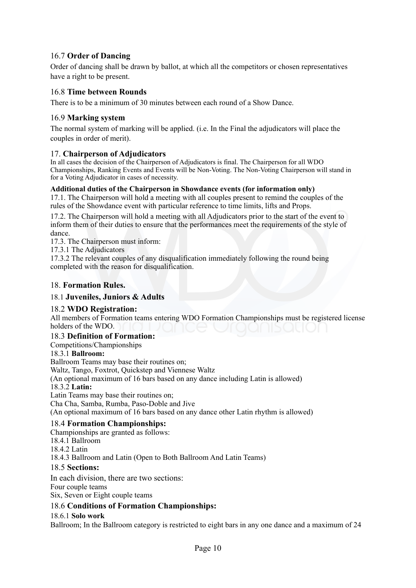#### 16.7 **Order of Dancing**

Order of dancing shall be drawn by ballot, at which all the competitors or chosen representatives have a right to be present.

#### 16.8 **Time between Rounds**

There is to be a minimum of 30 minutes between each round of a Show Dance.

#### 16.9 **Marking system**

The normal system of marking will be applied. (i.e. In the Final the adjudicators will place the couples in order of merit).

#### 17. **Chairperson of Adjudicators**

In all cases the decision of the Chairperson of Adjudicators is final. The Chairperson for all WDO Championships, Ranking Events and Events will be Non-Voting. The Non-Voting Chairperson will stand in for a Voting Adjudicator in cases of necessity.

#### **Additional duties of the Chairperson in Showdance events (for information only)**

17.1. The Chairperson will hold a meeting with all couples present to remind the couples of the rules of the Showdance event with particular reference to time limits, lifts and Props.

17.2. The Chairperson will hold a meeting with all Adjudicators prior to the start of the event to inform them of their duties to ensure that the performances meet the requirements of the style of dance.

17.3. The Chairperson must inform:

17.3.1 The Adjudicators

17.3.2 The relevant couples of any disqualification immediately following the round being completed with the reason for disqualification.

#### 18. **Formation Rules.**

#### 18.1 **Juveniles, Juniors & Adults**

#### 18.2 **WDO Registration:**

All members of Formation teams entering WDO Formation Championships must be registered license holders of the WDO.

#### 18.3 **Definition of Formation:**

Competitions/Championships

#### 18.3.1 **Ballroom:**

Ballroom Teams may base their routines on; Waltz, Tango, Foxtrot, Quickstep and Viennese Waltz (An optional maximum of 16 bars based on any dance including Latin is allowed) 18.3.2 **Latin:** Latin Teams may base their routines on; Cha Cha, Samba, Rumba, Paso-Doble and Jive (An optional maximum of 16 bars based on any dance other Latin rhythm is allowed) 18.4 **Formation Championships:**

Championships are granted as follows:

18.4.1 Ballroom

18.4.2 Latin

18.4.3 Ballroom and Latin (Open to Both Ballroom And Latin Teams)

#### 18.5 **Sections:**

In each division, there are two sections: Four couple teams Six, Seven or Eight couple teams

#### 18.6 **Conditions of Formation Championships:**

#### 18.6.1 **Solo work**

Ballroom; In the Ballroom category is restricted to eight bars in any one dance and a maximum of 24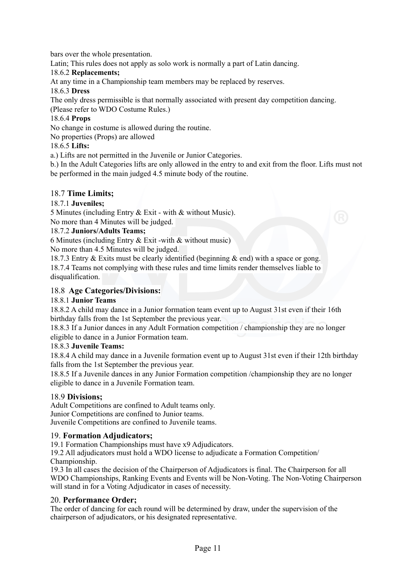bars over the whole presentation.

Latin; This rules does not apply as solo work is normally a part of Latin dancing.

#### 18.6.2 **Replacements;**

At any time in a Championship team members may be replaced by reserves.

#### 18.6.3 **Dress**

The only dress permissible is that normally associated with present day competition dancing.

(Please refer to WDO Costume Rules.)

#### 18.6.4 **Props**

No change in costume is allowed during the routine.

No properties (Props) are allowed

#### 18.6.5 **Lifts:**

a.) Lifts are not permitted in the Juvenile or Junior Categories.

b.) In the Adult Categories lifts are only allowed in the entry to and exit from the floor. Lifts must not be performed in the main judged 4.5 minute body of the routine.

#### 18.7 **Time Limits;**

#### 18.7.1 **Juveniles;**

5 Minutes (including Entry & Exit - with & without Music).

No more than 4 Minutes will be judged.

#### 18.7.2 **Juniors/Adults Teams;**

6 Minutes (including Entry & Exit -with & without music)

No more than 4.5 Minutes will be judged.

18.7.3 Entry & Exits must be clearly identified (beginning & end) with a space or gong. 18.7.4 Teams not complying with these rules and time limits render themselves liable to disqualification.

#### 18.8 **Age Categories/Divisions:**

#### 18.8.1 **Junior Teams**

18.8.2 A child may dance in a Junior formation team event up to August 31st even if their 16th birthday falls from the 1st September the previous year.

18.8.3 If a Junior dances in any Adult Formation competition / championship they are no longer eligible to dance in a Junior Formation team.

#### 18.8.3 **Juvenile Teams:**

18.8.4 A child may dance in a Juvenile formation event up to August 31st even if their 12th birthday falls from the 1st September the previous year.

18.8.5 If a Juvenile dances in any Junior Formation competition /championship they are no longer eligible to dance in a Juvenile Formation team.

#### 18.9 **Divisions;**

Adult Competitions are confined to Adult teams only. Junior Competitions are confined to Junior teams. Juvenile Competitions are confined to Juvenile teams.

#### 19. **Formation Adjudicators;**

19.1 Formation Championships must have x9 Adjudicators.

19.2 All adjudicators must hold a WDO license to adjudicate a Formation Competition/ Championship.

19.3 In all cases the decision of the Chairperson of Adjudicators is final. The Chairperson for all WDO Championships, Ranking Events and Events will be Non-Voting. The Non-Voting Chairperson will stand in for a Voting Adjudicator in cases of necessity.

#### 20. **Performance Order;**

The order of dancing for each round will be determined by draw, under the supervision of the chairperson of adjudicators, or his designated representative.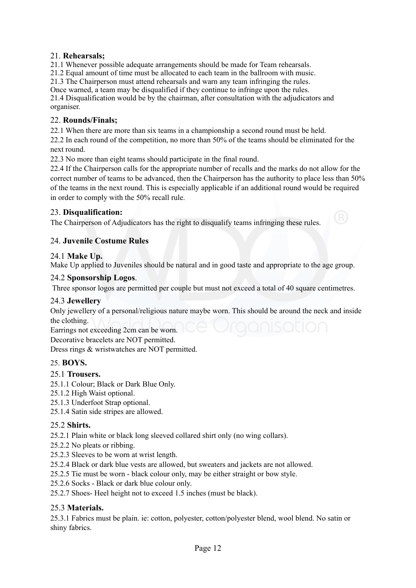#### 21. **Rehearsals;**

21.1 Whenever possible adequate arrangements should be made for Team rehearsals.

21.2 Equal amount of time must be allocated to each team in the ballroom with music.

21.3 The Chairperson must attend rehearsals and warn any team infringing the rules.

Once warned, a team may be disqualified if they continue to infringe upon the rules. 21.4 Disqualification would be by the chairman, after consultation with the adjudicators and organiser.

#### 22. **Rounds/Finals;**

22.1 When there are more than six teams in a championship a second round must be held.

22.2 In each round of the competition, no more than 50% of the teams should be eliminated for the next round.

22.3 No more than eight teams should participate in the final round.

22.4 If the Chairperson calls for the appropriate number of recalls and the marks do not allow for the correct number of teams to be advanced, then the Chairperson has the authority to place less than 50% of the teams in the next round. This is especially applicable if an additional round would be required in order to comply with the 50% recall rule.

#### 23. **Disqualification:**

The Chairperson of Adjudicators has the right to disqualify teams infringing these rules.

#### 24. **Juvenile Costume Rules**

#### 24.1 **Make Up.**

Make Up applied to Juveniles should be natural and in good taste and appropriate to the age group.

#### 24.2 **Sponsorship Logos**.

Three sponsor logos are permitted per couple but must not exceed a total of 40 square centimetres.

#### 24.3 **Jewellery**

Only jewellery of a personal/religious nature maybe worn. This should be around the neck and inside the clothing.

Earrings not exceeding 2cm can be worn.

Decorative bracelets are NOT permitted.

Dress rings & wristwatches are NOT permitted.

#### 25. **BOYS.**

#### 25.1 **Trousers.**

- 25.1.1 Colour; Black or Dark Blue Only.
- 25.1.2 High Waist optional.
- 25.1.3 Underfoot Strap optional.
- 25.1.4 Satin side stripes are allowed.

#### 25.2 **Shirts.**

25.2.1 Plain white or black long sleeved collared shirt only (no wing collars).

- 25.2.2 No pleats or ribbing.
- 25.2.3 Sleeves to be worn at wrist length.
- 25.2.4 Black or dark blue vests are allowed, but sweaters and jackets are not allowed.
- 25.2.5 Tie must be worn black colour only, may be either straight or bow style.
- 25.2.6 Socks Black or dark blue colour only.

25.2.7 Shoes- Heel height not to exceed 1.5 inches (must be black).

#### 25.3 **Materials.**

25.3.1 Fabrics must be plain. ie: cotton, polyester, cotton/polyester blend, wool blend. No satin or shiny fabrics.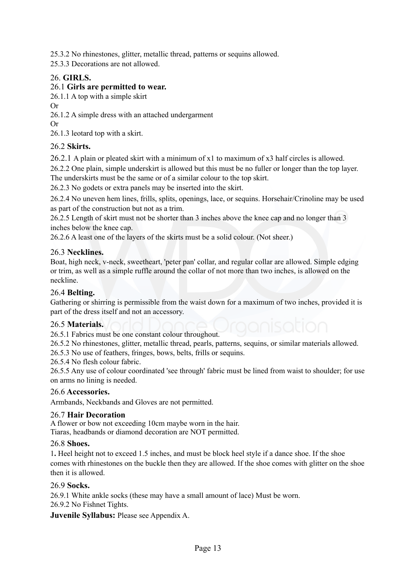25.3.2 No rhinestones, glitter, metallic thread, patterns or sequins allowed.

25.3.3 Decorations are not allowed.

#### 26. **GIRLS.**

#### 26.1 **Girls are permitted to wear.**

26.1.1 A top with a simple skirt

Or

26.1.2 A simple dress with an attached undergarment

Or

26.1.3 leotard top with a skirt.

#### 26.2 **Skirts.**

26.2.1 A plain or pleated skirt with a minimum of x1 to maximum of x3 half circles is allowed.

26.2.2 One plain, simple underskirt is allowed but this must be no fuller or longer than the top layer. The underskirts must be the same or of a similar colour to the top skirt.

26.2.3 No godets or extra panels may be inserted into the skirt.

26.2.4 No uneven hem lines, frills, splits, openings, lace, or sequins. Horsehair/Crinoline may be used as part of the construction but not as a trim.

26.2.5 Length of skirt must not be shorter than 3 inches above the knee cap and no longer than 3 inches below the knee cap.

26.2.6 A least one of the layers of the skirts must be a solid colour. (Not sheer.)

#### 26.3 **Necklines.**

Boat, high neck, v-neck, sweetheart, 'peter pan' collar, and regular collar are allowed. Simple edging or trim, as well as a simple ruffle around the collar of not more than two inches, is allowed on the neckline.

#### 26.4 **Belting.**

Gathering or shirring is permissible from the waist down for a maximum of two inches, provided it is part of the dress itself and not an accessory.

#### 26.5 **Materials.**

26.5.1 Fabrics must be one constant colour throughout.

26.5.2 No rhinestones, glitter, metallic thread, pearls, patterns, sequins, or similar materials allowed.

26.5.3 No use of feathers, fringes, bows, belts, frills or sequins.

26.5.4 No flesh colour fabric.

26.5.5 Any use of colour coordinated 'see through' fabric must be lined from waist to shoulder; for use on arms no lining is needed.

#### 26.6 **Accessories.**

Armbands, Neckbands and Gloves are not permitted.

#### 26.7 **Hair Decoration**

A flower or bow not exceeding 10cm maybe worn in the hair. Tiaras, headbands or diamond decoration are NOT permitted.

#### 26.8 **Shoes.**

1**.** Heel height not to exceed 1.5 inches, and must be block heel style if a dance shoe. If the shoe comes with rhinestones on the buckle then they are allowed. If the shoe comes with glitter on the shoe then it is allowed.

#### 26.9 **Socks.**

26.9.1 White ankle socks (these may have a small amount of lace) Must be worn. 26.9.2 No Fishnet Tights.

**Juvenile Syllabus:** Please see Appendix A.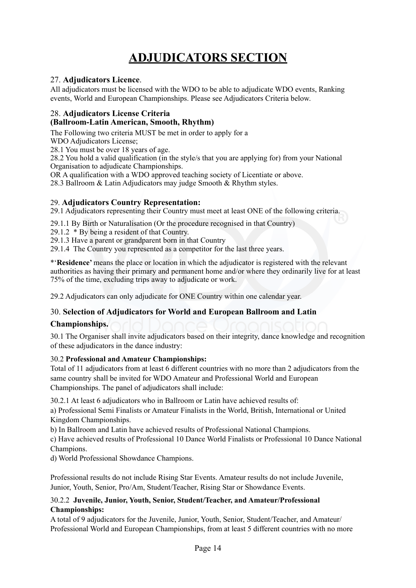# **ADJUDICATORS SECTION**

#### 27. **Adjudicators Licence**.

All adjudicators must be licensed with the WDO to be able to adjudicate WDO events, Ranking events, World and European Championships. Please see Adjudicators Criteria below.

#### 28. **Adjudicators License Criteria (Ballroom-Latin American, Smooth, Rhythm)**

The Following two criteria MUST be met in order to apply for a

WDO Adjudicators License;

28.1 You must be over 18 years of age.

28.2 You hold a valid qualification (in the style/s that you are applying for) from your National Organisation to adjudicate Championships.

OR A qualification with a WDO approved teaching society of Licentiate or above.

28.3 Ballroom & Latin Adjudicators may judge Smooth & Rhythm styles.

#### 29. **Adjudicators Country Representation:**

29.1 Adjudicators representing their Country must meet at least ONE of the following criteria.

29.1.1 By Birth or Naturalisation (Or the procedure recognised in that Country)

29.1.2 \* By being a resident of that Country.

29.1.3 Have a parent or grandparent born in that Country

29.1.4 The Country you represented as a competitor for the last three years.

\*'**Residence'** means the place or location in which the adjudicator is registered with the relevant authorities as having their primary and permanent home and/or where they ordinarily live for at least 75% of the time, excluding trips away to adjudicate or work.

29.2 Adjudicators can only adjudicate for ONE Country within one calendar year.

#### 30. **Selection of Adjudicators for World and European Ballroom and Latin**

#### **Championships.**

30.1 The Organiser shall invite adjudicators based on their integrity, dance knowledge and recognition of these adjudicators in the dance industry:

#### 30.2 **Professional and Amateur Championships:**

Total of 11 adjudicators from at least 6 different countries with no more than 2 adjudicators from the same country shall be invited for WDO Amateur and Professional World and European Championships. The panel of adjudicators shall include:

30.2.1 At least 6 adjudicators who in Ballroom or Latin have achieved results of:

a) Professional Semi Finalists or Amateur Finalists in the World, British, International or United Kingdom Championships.

b) In Ballroom and Latin have achieved results of Professional National Champions.

c) Have achieved results of Professional 10 Dance World Finalists or Professional 10 Dance National Champions.

d) World Professional Showdance Champions.

Professional results do not include Rising Star Events. Amateur results do not include Juvenile, Junior, Youth, Senior, Pro/Am, Student/Teacher, Rising Star or Showdance Events.

#### 30.2.2 **Juvenile, Junior, Youth, Senior, Student/Teacher, and Amateur/Professional Championships:**

A total of 9 adjudicators for the Juvenile, Junior, Youth, Senior, Student/Teacher, and Amateur/ Professional World and European Championships, from at least 5 different countries with no more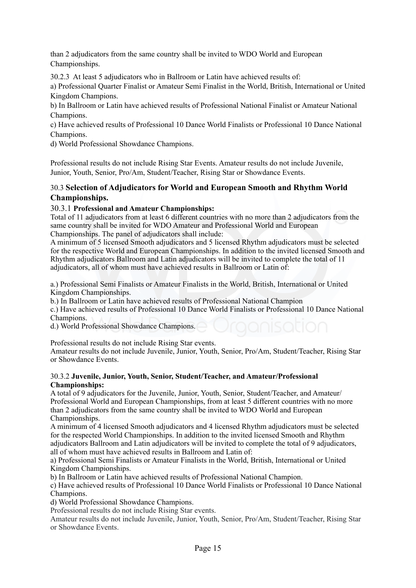than 2 adjudicators from the same country shall be invited to WDO World and European Championships.

30.2.3 At least 5 adjudicators who in Ballroom or Latin have achieved results of:

a) Professional Quarter Finalist or Amateur Semi Finalist in the World, British, International or United Kingdom Champions.

b) In Ballroom or Latin have achieved results of Professional National Finalist or Amateur National Champions.

c) Have achieved results of Professional 10 Dance World Finalists or Professional 10 Dance National Champions.

d) World Professional Showdance Champions.

Professional results do not include Rising Star Events. Amateur results do not include Juvenile, Junior, Youth, Senior, Pro/Am, Student/Teacher, Rising Star or Showdance Events.

#### 30.3 **Selection of Adjudicators for World and European Smooth and Rhythm World Championships.**

#### 30.3.1 **Professional and Amateur Championships:**

Total of 11 adjudicators from at least 6 different countries with no more than 2 adjudicators from the same country shall be invited for WDO Amateur and Professional World and European Championships. The panel of adjudicators shall include:

A minimum of 5 licensed Smooth adjudicators and 5 licensed Rhythm adjudicators must be selected for the respective World and European Championships. In addition to the invited licensed Smooth and Rhythm adjudicators Ballroom and Latin adjudicators will be invited to complete the total of 11 adjudicators, all of whom must have achieved results in Ballroom or Latin of:

a.) Professional Semi Finalists or Amateur Finalists in the World, British, International or United Kingdom Championships.

b.) In Ballroom or Latin have achieved results of Professional National Champion

c.) Have achieved results of Professional 10 Dance World Finalists or Professional 10 Dance National Champions.

d.) World Professional Showdance Champions.

Professional results do not include Rising Star events.

Amateur results do not include Juvenile, Junior, Youth, Senior, Pro/Am, Student/Teacher, Rising Star or Showdance Events.

#### 30.3.2 **Juvenile, Junior, Youth, Senior, Student/Teacher, and Amateur/Professional Championships:**

A total of 9 adjudicators for the Juvenile, Junior, Youth, Senior, Student/Teacher, and Amateur/ Professional World and European Championships, from at least 5 different countries with no more than 2 adjudicators from the same country shall be invited to WDO World and European Championships.

A minimum of 4 licensed Smooth adjudicators and 4 licensed Rhythm adjudicators must be selected for the respected World Championships. In addition to the invited licensed Smooth and Rhythm adjudicators Ballroom and Latin adjudicators will be invited to complete the total of 9 adjudicators, all of whom must have achieved results in Ballroom and Latin of:

a) Professional Semi Finalists or Amateur Finalists in the World, British, International or United Kingdom Championships.

b) In Ballroom or Latin have achieved results of Professional National Champion.

c) Have achieved results of Professional 10 Dance World Finalists or Professional 10 Dance National Champions.

d) World Professional Showdance Champions.

Professional results do not include Rising Star events.

Amateur results do not include Juvenile, Junior, Youth, Senior, Pro/Am, Student/Teacher, Rising Star or Showdance Events.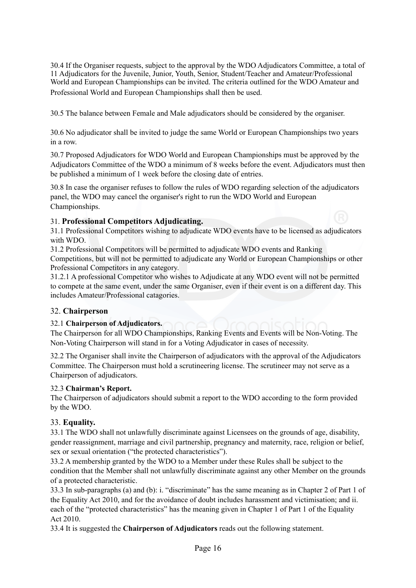30.4 If the Organiser requests, subject to the approval by the WDO Adjudicators Committee, a total of 11 Adjudicators for the Juvenile, Junior, Youth, Senior, Student/Teacher and Amateur/Professional World and European Championships can be invited. The criteria outlined for the WDO Amateur and Professional World and European Championships shall then be used.

30.5 The balance between Female and Male adjudicators should be considered by the organiser.

30.6 No adjudicator shall be invited to judge the same World or European Championships two years in a row.

30.7 Proposed Adjudicators for WDO World and European Championships must be approved by the Adjudicators Committee of the WDO a minimum of 8 weeks before the event. Adjudicators must then be published a minimum of 1 week before the closing date of entries.

30.8 In case the organiser refuses to follow the rules of WDO regarding selection of the adjudicators panel, the WDO may cancel the organiser's right to run the WDO World and European Championships.

#### 31. **Professional Competitors Adjudicating.**

31.1 Professional Competitors wishing to adjudicate WDO events have to be licensed as adjudicators with WDO.

31.2 Professional Competitors will be permitted to adjudicate WDO events and Ranking Competitions, but will not be permitted to adjudicate any World or European Championships or other Professional Competitors in any category.

31.2.1 A professional Competitor who wishes to Adjudicate at any WDO event will not be permitted to compete at the same event, under the same Organiser, even if their event is on a different day. This includes Amateur/Professional catagories.

#### 32. **Chairperson**

#### 32.1 **Chairperson of Adjudicators.**

The Chairperson for all WDO Championships, Ranking Events and Events will be Non-Voting. The Non-Voting Chairperson will stand in for a Voting Adjudicator in cases of necessity.

32.2 The Organiser shall invite the Chairperson of adjudicators with the approval of the Adjudicators Committee. The Chairperson must hold a scrutineering license. The scrutineer may not serve as a Chairperson of adjudicators.

#### 32.3 **Chairman's Report.**

The Chairperson of adjudicators should submit a report to the WDO according to the form provided by the WDO.

#### 33. **Equality.**

33.1 The WDO shall not unlawfully discriminate against Licensees on the grounds of age, disability, gender reassignment, marriage and civil partnership, pregnancy and maternity, race, religion or belief, sex or sexual orientation ("the protected characteristics").

33.2 A membership granted by the WDO to a Member under these Rules shall be subject to the condition that the Member shall not unlawfully discriminate against any other Member on the grounds of a protected characteristic.

33.3 In sub-paragraphs (a) and (b): i. "discriminate" has the same meaning as in Chapter 2 of Part 1 of the Equality Act 2010, and for the avoidance of doubt includes harassment and victimisation; and ii. each of the "protected characteristics" has the meaning given in Chapter 1 of Part 1 of the Equality Act 2010.

33.4 It is suggested the **Chairperson of Adjudicators** reads out the following statement.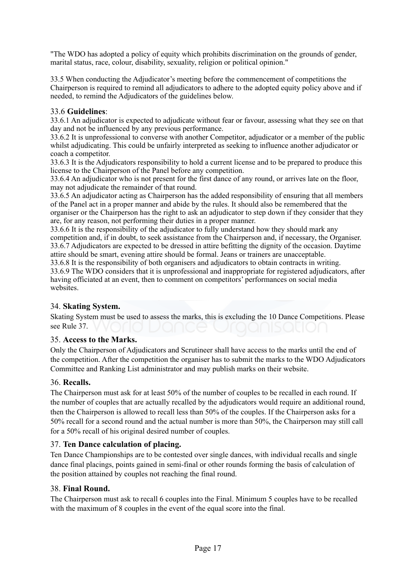"The WDO has adopted a policy of equity which prohibits discrimination on the grounds of gender, marital status, race, colour, disability, sexuality, religion or political opinion."

33.5 When conducting the Adjudicator's meeting before the commencement of competitions the Chairperson is required to remind all adjudicators to adhere to the adopted equity policy above and if needed, to remind the Adjudicators of the guidelines below.

#### 33.6 **Guidelines**:

33.6.1 An adjudicator is expected to adjudicate without fear or favour, assessing what they see on that day and not be influenced by any previous performance.

33.6.2 It is unprofessional to converse with another Competitor, adjudicator or a member of the public whilst adjudicating. This could be unfairly interpreted as seeking to influence another adjudicator or coach a competitor.

33.6.3 It is the Adjudicators responsibility to hold a current license and to be prepared to produce this license to the Chairperson of the Panel before any competition.

33.6.4 An adjudicator who is not present for the first dance of any round, or arrives late on the floor, may not adjudicate the remainder of that round.

33.6.5 An adjudicator acting as Chairperson has the added responsibility of ensuring that all members of the Panel act in a proper manner and abide by the rules. It should also be remembered that the organiser or the Chairperson has the right to ask an adjudicator to step down if they consider that they are, for any reason, not performing their duties in a proper manner.

33.6.6 It is the responsibility of the adjudicator to fully understand how they should mark any competition and, if in doubt, to seek assistance from the Chairperson and, if necessary, the Organiser. 33.6.7 Adjudicators are expected to be dressed in attire befitting the dignity of the occasion. Daytime attire should be smart, evening attire should be formal. Jeans or trainers are unacceptable.

33.6.8 It is the responsibility of both organisers and adjudicators to obtain contracts in writing. 33.6.9 The WDO considers that it is unprofessional and inappropriate for registered adjudicators, after having officiated at an event, then to comment on competitors' performances on social media websites.

#### 34. **Skating System.**

Skating System must be used to assess the marks, this is excluding the 10 Dance Competitions. Please see Rule 37.

#### 35. **Access to the Marks.**

Only the Chairperson of Adjudicators and Scrutineer shall have access to the marks until the end of the competition. After the competition the organiser has to submit the marks to the WDO Adjudicators Committee and Ranking List administrator and may publish marks on their website.

#### 36. **Recalls.**

The Chairperson must ask for at least 50% of the number of couples to be recalled in each round. If the number of couples that are actually recalled by the adjudicators would require an additional round, then the Chairperson is allowed to recall less than 50% of the couples. If the Chairperson asks for a 50% recall for a second round and the actual number is more than 50%, the Chairperson may still call for a 50% recall of his original desired number of couples.

#### 37. **Ten Dance calculation of placing.**

Ten Dance Championships are to be contested over single dances, with individual recalls and single dance final placings, points gained in semi-final or other rounds forming the basis of calculation of the position attained by couples not reaching the final round.

#### 38. **Final Round.**

The Chairperson must ask to recall 6 couples into the Final. Minimum 5 couples have to be recalled with the maximum of 8 couples in the event of the equal score into the final.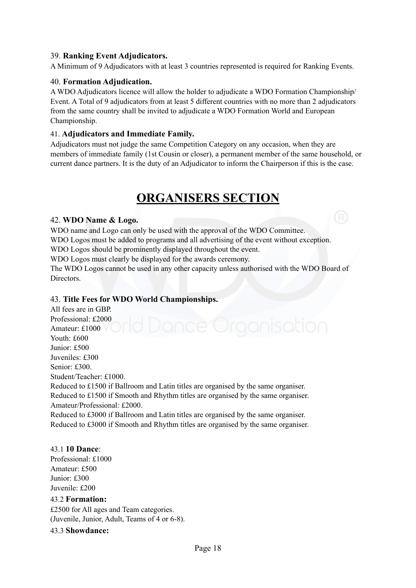#### 39. **Ranking Event Adjudicators.**

A Minimum of 9 Adjudicators with at least 3 countries represented is required for Ranking Events.

#### 40. **Formation Adjudication.**

A WDO Adjudicators licence will allow the holder to adjudicate a WDO Formation Championship/ Event. A Total of 9 adjudicators from at least 5 different countries with no more than 2 adjudicators from the same country shall be invited to adjudicate a WDO Formation World and European Championship.

#### 41. **Adjudicators and Immediate Family.**

Adjudicators must not judge the same Competition Category on any occasion, when they are members of immediate family (1st Cousin or closer), a permanent member of the same household, or current dance partners. It is the duty of an Adjudicator to inform the Chairperson if this is the case.

## **ORGANISERS SECTION**

#### 42. **WDO Name & Logo.**

WDO name and Logo can only be used with the approval of the WDO Committee. WDO Logos must be added to programs and all advertising of the event without exception. WDO Logos should be prominently displayed throughout the event.

WDO Logos must clearly be displayed for the awards ceremony.

The WDO Logos cannot be used in any other capacity unless authorised with the WDO Board of **Directors** 

#### 43. **Title Fees for WDO World Championships.**

All fees are in GBP. Professional: £2000 Amateur: £1000 Youth: £600 Junior: £500 Juveniles: £300 Senior: £300. Student/Teacher: £1000. Reduced to £1500 if Ballroom and Latin titles are organised by the same organiser. Reduced to £1500 if Smooth and Rhythm titles are organised by the same organiser. Amateur/Professional: £2000.

Reduced to £3000 if Ballroom and Latin titles are organised by the same organiser. Reduced to £3000 if Smooth and Rhythm titles are organised by the same organiser.

#### 43.1 **10 Dance**:

Professional: £1000 Amateur: £500 Junior: £300 Juvenile: £200

#### 43.2 **Formation:**

£2500 for All ages and Team categories. (Juvenile, Junior, Adult, Teams of 4 or 6-8).

#### 43.3 **Showdance:**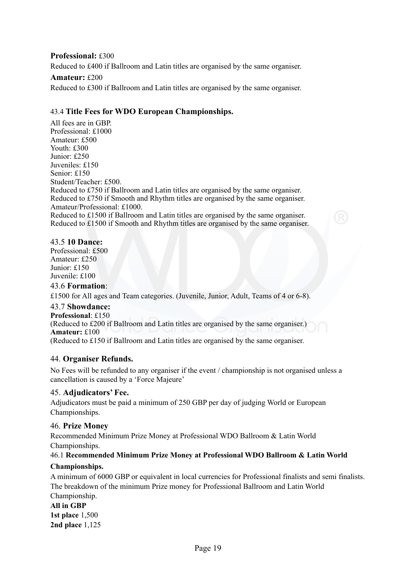#### **Professional:** £300

Reduced to £400 if Ballroom and Latin titles are organised by the same organiser.

#### **Amateur:** £200

Reduced to £300 if Ballroom and Latin titles are organised by the same organiser.

#### 43.4 **Title Fees for WDO European Championships.**

All fees are in GBP. Professional: £1000 Amateur: £500 Youth: £300 Junior: £250 Juveniles: £150 Senior: £150 Student/Teacher: £500. Reduced to £750 if Ballroom and Latin titles are organised by the same organiser. Reduced to £750 if Smooth and Rhythm titles are organised by the same organiser. Amateur/Professional: £1000. Reduced to £1500 if Ballroom and Latin titles are organised by the same organiser. Reduced to £1500 if Smooth and Rhythm titles are organised by the same organiser.

#### 43.5 **10 Dance:**

Professional: £500 Amateur: £250 Junior: £150 Juvenile: £100

#### 43.6 **Formation**:

£1500 for All ages and Team categories. (Juvenile, Junior, Adult, Teams of 4 or 6-8).

#### 43.7 **Showdance:**

**Professional**: £150 (Reduced to £200 if Ballroom and Latin titles are organised by the same organiser.) **Amateur:** £100 (Reduced to £150 if Ballroom and Latin titles are organised by the same organiser.

#### 44. **Organiser Refunds.**

No Fees will be refunded to any organiser if the event / championship is not organised unless a cancellation is caused by a 'Force Majeure'

#### 45. **Adjudicators' Fee.**

Adjudicators must be paid a minimum of 250 GBP per day of judging World or European Championships.

#### 46. **Prize Money**

Recommended Minimum Prize Money at Professional WDO Ballroom & Latin World Championships.

#### 46.1 **Recommended Minimum Prize Money at Professional WDO Ballroom & Latin World**

#### **Championships.**

A minimum of 6000 GBP or equivalent in local currencies for Professional finalists and semi finalists. The breakdown of the minimum Prize money for Professional Ballroom and Latin World Championship.

**All in GBP 1st place** 1,500 **2nd place** 1,125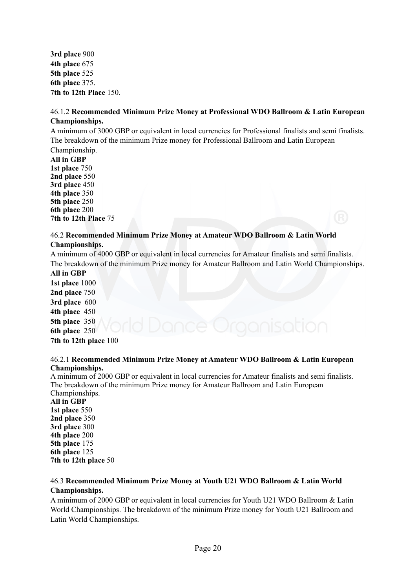**3rd place** 900 **4th place** 675 **5th place** 525 **6th place** 375. **7th to 12th Place** 150.

#### 46.1.2 **Recommended Minimum Prize Money at Professional WDO Ballroom & Latin European Championships.**

A minimum of 3000 GBP or equivalent in local currencies for Professional finalists and semi finalists. The breakdown of the minimum Prize money for Professional Ballroom and Latin European Championship.

**All in GBP 1st place** 750 **2nd place** 550 **3rd place** 450 **4th place** 350 **5th place** 250 **6th place** 200 **7th to 12th Place** 75

#### 46.2 **Recommended Minimum Prize Money at Amateur WDO Ballroom & Latin World Championships.**

A minimum of 4000 GBP or equivalent in local currencies for Amateur finalists and semi finalists. The breakdown of the minimum Prize money for Amateur Ballroom and Latin World Championships.

**All in GBP 1st place** 1000 **2nd place** 750 **3rd place** 600 **4th place** 450 **5th place** 350 **6th place** 250 **7th to 12th place** 100

#### 46.2.1 **Recommended Minimum Prize Money at Amateur WDO Ballroom & Latin European Championships.**

A minimum of 2000 GBP or equivalent in local currencies for Amateur finalists and semi finalists. The breakdown of the minimum Prize money for Amateur Ballroom and Latin European Championships.

**All in GBP 1st place** 550 **2nd place** 350 **3rd place** 300 **4th place** 200 **5th place** 175 **6th place** 125 **7th to 12th place** 50

#### 46.3 **Recommended Minimum Prize Money at Youth U21 WDO Ballroom & Latin World Championships.**

A minimum of 2000 GBP or equivalent in local currencies for Youth U21 WDO Ballroom & Latin World Championships. The breakdown of the minimum Prize money for Youth U21 Ballroom and Latin World Championships.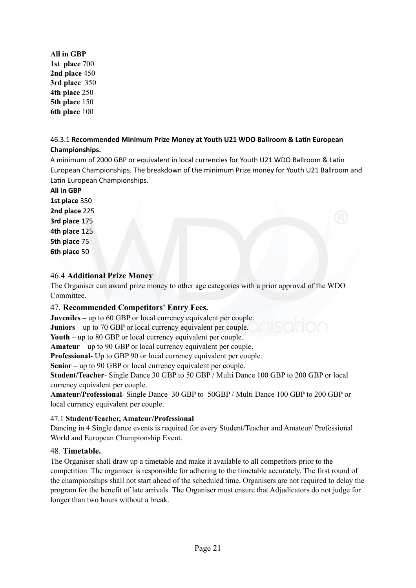**All in GBP 1st place** 700 **2nd place** 450 **3rd place** 350 **4th place** 250 **5th place** 150 **6th place** 100

#### 46.3.1 Recommended Minimum Prize Money at Youth U21 WDO Ballroom & Latin European **Championships.**

A minimum of 2000 GBP or equivalent in local currencies for Youth U21 WDO Ballroom & Latin European Championships. The breakdown of the minimum Prize money for Youth U21 Ballroom and Latin European Championships.

**All in GBP**

**1st place** 350 **2nd place** 225 **3rd place** 175 **4th place** 125 **5th place** 75 **6th place** 50

#### 46.4 **Additional Prize Money**

The Organiser can award prize money to other age categories with a prior approval of the WDO Committee.

#### 47. **Recommended Competitors' Entry Fees.**

**Juveniles** – up to 60 GBP or local currency equivalent per couple.

**Juniors** – up to 70 GBP or local currency equivalent per couple.

**Youth** – up to 80 GBP or local currency equivalent per couple.

**Amateur** – up to 90 GBP or local currency equivalent per couple.

**Professional**- Up to GBP 90 or local currency equivalent per couple.

**Senior** – up to 90 GBP or local currency equivalent per couple.

**Student/Teacher**- Single Dance 30 GBP to 50 GBP / Multi Dance 100 GBP to 200 GBP or local currency equivalent per couple.

**Amateur/Professional**- Single Dance 30 GBP to 50GBP / Multi Dance 100 GBP to 200 GBP or local currency equivalent per couple.

#### 47.1 **Student/Teacher, Amateur/Professional**

Dancing in 4 Single dance events is required for every Student/Teacher and Amateur/ Professional World and European Championship Event.

#### 48. **Timetable.**

The Organiser shall draw up a timetable and make it available to all competitors prior to the competition. The organiser is responsible for adhering to the timetable accurately. The first round of the championships shall not start ahead of the scheduled time. Organisers are not required to delay the program for the benefit of late arrivals. The Organiser must ensure that Adjudicators do not judge for longer than two hours without a break.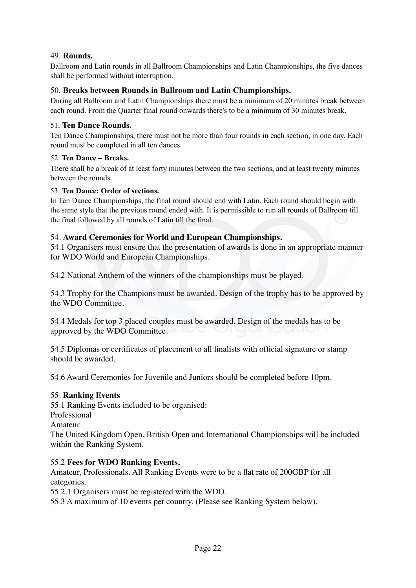#### 49. **Rounds.**

Ballroom and Latin rounds in all Ballroom Championships and Latin Championships, the five dances shall be performed without interruption.

#### 50. **Breaks between Rounds in Ballroom and Latin Championships.**

During all Ballroom and Latin Championships there must be a minimum of 20 minutes break between each round. From the Quarter final round onwards there's to be a minimum of 30 minutes break.

#### 51. **Ten Dance Rounds.**

Ten Dance Championships, there must not be more than four rounds in each section, in one day. Each round must be completed in all ten dances.

#### 52. **Ten Dance – Breaks.**

There shall be a break of at least forty minutes between the two sections, and at least twenty minutes between the rounds.

#### 53. **Ten Dance: Order of sections.**

In Ten Dance Championships, the final round should end with Latin. Each round should begin with the same style that the previous round ended with. It is permissible to run all rounds of Ballroom till the final followed by all rounds of Latin till the final.

#### 54. **Award Ceremonies for World and European Championships.**

54.1 Organisers must ensure that the presentation of awards is done in an appropriate manner for WDO World and European Championships.

54.2 National Anthem of the winners of the championships must be played.

54.3 Trophy for the Champions must be awarded. Design of the trophy has to be approved by the WDO Committee.

54.4 Medals for top 3 placed couples must be awarded. Design of the medals has to be approved by the WDO Committee.

54.5 Diplomas or certificates of placement to all finalists with official signature or stamp should be awarded.

54.6 Award Ceremonies for Juvenile and Juniors should be completed before 10pm.

#### 55. **Ranking Events**

55.1 Ranking Events included to be organised: Professional Amateur The United Kingdom Open, British Open and International Championships will be included within the Ranking System.

#### 55.2 **Fees for WDO Ranking Events.**

Amateur, Professionals. All Ranking Events were to be a flat rate of 200GBP for all categories.

55.2.1 Organisers must be registered with the WDO.

55.3 A maximum of 10 events per country. (Please see Ranking System below).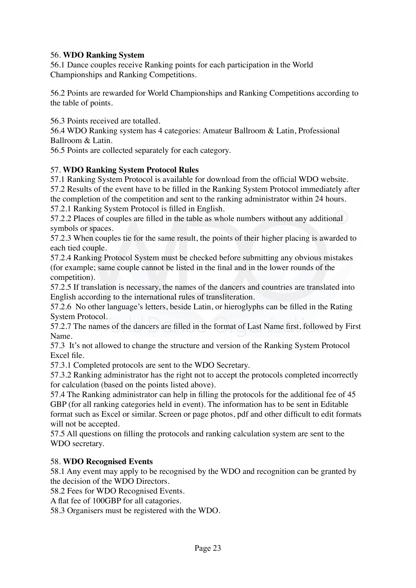#### 56. **WDO Ranking System**

56.1 Dance couples receive Ranking points for each participation in the World Championships and Ranking Competitions.

56.2 Points are rewarded for World Championships and Ranking Competitions according to the table of points.

56.3 Points received are totalled.

56.4 WDO Ranking system has 4 categories: Amateur Ballroom & Latin, Professional Ballroom & Latin.

56.5 Points are collected separately for each category.

#### 57. **WDO Ranking System Protocol Rules**

57.1 Ranking System Protocol is available for download from the official WDO website.

57.2 Results of the event have to be filled in the Ranking System Protocol immediately after the completion of the competition and sent to the ranking administrator within 24 hours.

57.2.1 Ranking System Protocol is filled in English.

57.2.2 Places of couples are filled in the table as whole numbers without any additional symbols or spaces.

57.2.3 When couples tie for the same result, the points of their higher placing is awarded to each tied couple.

57.2.4 Ranking Protocol System must be checked before submitting any obvious mistakes (for example; same couple cannot be listed in the final and in the lower rounds of the competition).

57.2.5 If translation is necessary, the names of the dancers and countries are translated into English according to the international rules of transliteration.

57.2.6 No other language's letters, beside Latin, or hieroglyphs can be filled in the Rating System Protocol.

57.2.7 The names of the dancers are filled in the format of Last Name first, followed by First Name.

57.3 It's not allowed to change the structure and version of the Ranking System Protocol Excel file.

57.3.1 Completed protocols are sent to the WDO Secretary.

57.3.2 Ranking administrator has the right not to accept the protocols completed incorrectly for calculation (based on the points listed above).

57.4 The Ranking administrator can help in filling the protocols for the additional fee of 45 GBP (for all ranking categories held in event). The information has to be sent in Editable format such as Excel or similar. Screen or page photos, pdf and other difficult to edit formats will not be accepted.

57.5 All questions on filling the protocols and ranking calculation system are sent to the WDO secretary.

#### 58. **WDO Recognised Events**

58.1 Any event may apply to be recognised by the WDO and recognition can be granted by the decision of the WDO Directors.

58.2 Fees for WDO Recognised Events.

A flat fee of 100GBP for all catagories.

58.3 Organisers must be registered with the WDO.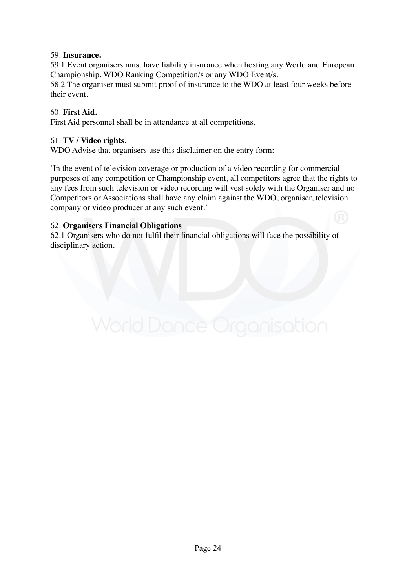#### 59. **Insurance.**

59.1 Event organisers must have liability insurance when hosting any World and European Championship, WDO Ranking Competition/s or any WDO Event/s.

58.2 The organiser must submit proof of insurance to the WDO at least four weeks before their event.

#### 60. **First Aid.**

First Aid personnel shall be in attendance at all competitions.

#### 61. **TV / Video rights.**

WDO Advise that organisers use this disclaimer on the entry form:

'In the event of television coverage or production of a video recording for commercial purposes of any competition or Championship event, all competitors agree that the rights to any fees from such television or video recording will vest solely with the Organiser and no Competitors or Associations shall have any claim against the WDO, organiser, television company or video producer at any such event.'

#### 62. **Organisers Financial Obligations**

62.1 Organisers who do not fulfil their financial obligations will face the possibility of disciplinary action.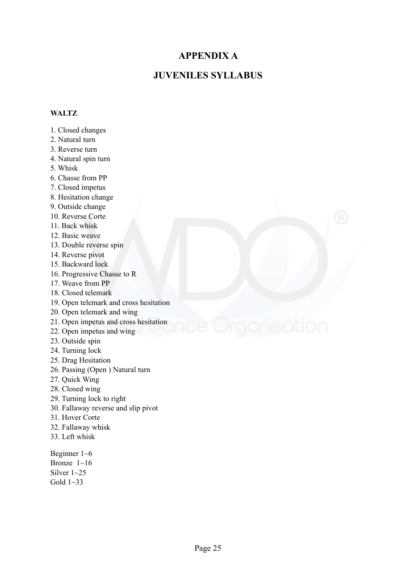#### **APPENDIX A**

#### **JUVENILES SYLLABUS**

#### **WALTZ**

- 1. Closed changes
- 2. Natural turn
- 3. Reverse turn
- 4. Natural spin turn
- 5. Whisk
- 6. Chasse from PP
- 7. Closed impetus
- 8. Hesitation change
- 9. Outside change
- 10. Reverse Corte
- 11. Back whisk
- 12. Basic weave
- 13. Double reverse spin
- 14. Reverse pivot
- 15. Backward lock
- 16. Progressive Chasse to R
- 17. Weave from PP
- 18. Closed telemark
- 19. Open telemark and cross hesitation
- 20. Open telemark and wing
- 21. Open impetus and cross hesitation
- 22. Open impetus and wing
- 23. Outside spin
- 24. Turning lock
- 25. Drag Hesitation
- 26. Passing (Open ) Natural turn
- 27. Quick Wing
- 28. Closed wing
- 29. Turning lock to right
- 30. Fallaway reverse and slip pivot
- 31. Hover Corte
- 32. Fallaway whisk
- 33. Left whisk

Beginner 1~6 Bronze  $1~1~16$ Silver  $1 \sim 25$ Gold 1~33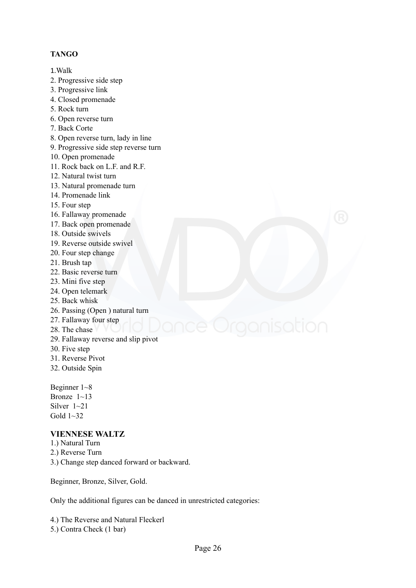#### **TANGO**

1.Walk

- 2. Progressive side step
- 3. Progressive link
- 4. Closed promenade
- 5. Rock turn
- 6. Open reverse turn
- 7. Back Corte
- 8. Open reverse turn, lady in line
- 9. Progressive side step reverse turn
- 10. Open promenade
- 11. Rock back on L.F. and R.F.
- 12. Natural twist turn
- 13. Natural promenade turn
- 14. Promenade link
- 15. Four step
- 16. Fallaway promenade
- 17. Back open promenade
- 18. Outside swivels
- 19. Reverse outside swivel
- 20. Four step change
- 21. Brush tap
- 22. Basic reverse turn
- 23. Mini five step
- 24. Open telemark
- 25. Back whisk
- 26. Passing (Open ) natural turn
- 27. Fallaway four step

### 28 The chase

- 29. Fallaway reverse and slip pivot
- 30. Five step
- 31. Reverse Pivot
- 32. Outside Spin

Beginner 1~8 Bronze  $1 \sim 13$ Silver  $1 \sim 21$ Gold  $1 \sim 32$ 

#### **VIENNESE WALTZ**

- 1.) Natural Turn
- 2.) Reverse Turn
- 3.) Change step danced forward or backward.

Beginner, Bronze, Silver, Gold.

Only the additional figures can be danced in unrestricted categories:

4.) The Reverse and Natural Fleckerl 5.) Contra Check (1 bar)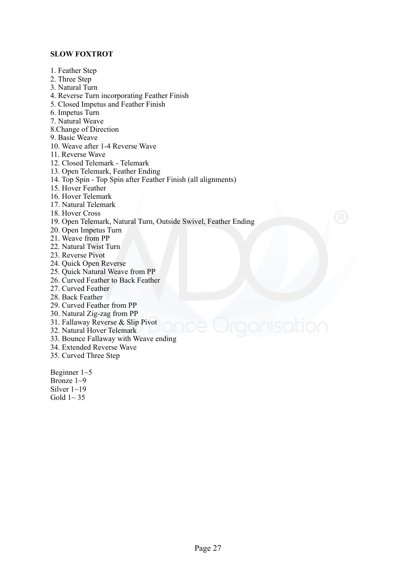#### **SLOW FOXTROT**

- 1. Feather Step 2. Three Step 3. Natural Turn 4. Reverse Turn incorporating Feather Finish 5. Closed Impetus and Feather Finish 6. Impetus Turn 7. Natural Weave 8.Change of Direction 9. Basic Weave 10. Weave after 1-4 Reverse Wave 11. Reverse Wave 12. Closed Telemark - Telemark 13. Open Telemark, Feather Ending 14. Top Spin - Top Spin after Feather Finish (all alignments) 15. Hover Feather 16. Hover Telemark 17. Natural Telemark 18. Hover Cross 19. Open Telemark, Natural Turn, Outside Swivel, Feather Ending 20. Open Impetus Turn 21. Weave from PP 22. Natural Twist Turn 23. Reverse Pivot 24. Quick Open Reverse 25. Quick Natural Weave from PP 26. Curved Feather to Back Feather 27. Curved Feather 28. Back Feather 29. Curved Feather from PP 30. Natural Zig-zag from PP
- 31. Fallaway Reverse & Slip Pivot
- 32. Natural Hover Telemark
- 33. Bounce Fallaway with Weave ending
- 34. Extended Reverse Wave
- 35. Curved Three Step

Beginner 1~5 Bronze  $1~9$ Silver  $1 \sim 19$ Gold  $1 \sim 35$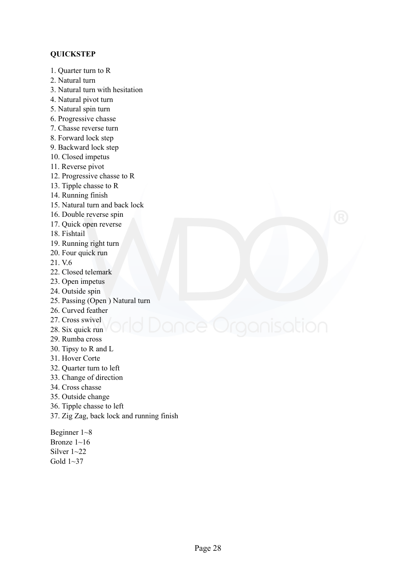#### **QUICKSTEP**

- 1. Quarter turn to R
- 2. Natural turn
- 3. Natural turn with hesitation
- 4. Natural pivot turn
- 5. Natural spin turn
- 6. Progressive chasse
- 7. Chasse reverse turn
- 8. Forward lock step
- 9. Backward lock step
- 10. Closed impetus
- 11. Reverse pivot
- 12. Progressive chasse to R
- 13. Tipple chasse to R
- 14. Running finish
- 15. Natural turn and back lock
- 16. Double reverse spin
- 17. Quick open reverse
- 18. Fishtail
- 19. Running right turn
- 20. Four quick run
- 21. V.6
- 22. Closed telemark
- 23. Open impetus
- 24. Outside spin
- 25. Passing (Open ) Natural turn
- 26. Curved feather
- 27. Cross swivel
- 28. Six quick run
- 29. Rumba cross
- 30. Tipsy to R and L
- 31. Hover Corte
- 32. Quarter turn to left
- 33. Change of direction
- 34. Cross chasse
- 35. Outside change
- 36. Tipple chasse to left
- 37. Zig Zag, back lock and running finish

Beginner 1~8 Bronze 1~16 Silver  $1 \sim 22$ Gold  $1~37$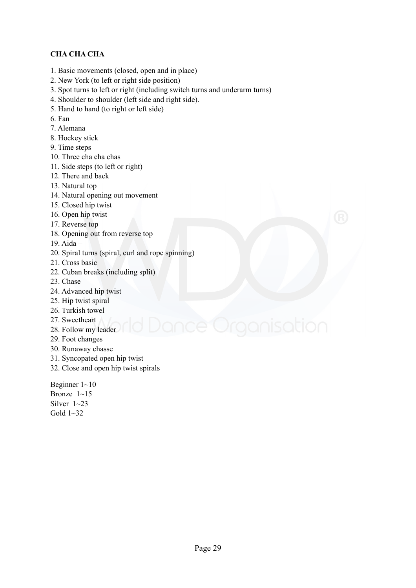#### **CHA CHA CHA**

- 1. Basic movements (closed, open and in place)
- 2. New York (to left or right side position)
- 3. Spot turns to left or right (including switch turns and underarm turns)
- 4. Shoulder to shoulder (left side and right side).
- 5. Hand to hand (to right or left side)
- 6. Fan
- 7. Alemana
- 8. Hockey stick
- 9. Time steps
- 10. Three cha cha chas
- 11. Side steps (to left or right)
- 12. There and back
- 13. Natural top
- 14. Natural opening out movement
- 15. Closed hip twist
- 16. Open hip twist
- 17. Reverse top
- 18. Opening out from reverse top
- 19. Aida –
- 20. Spiral turns (spiral, curl and rope spinning)
- 21. Cross basic
- 22. Cuban breaks (including split)
- 23. Chase
- 24. Advanced hip twist
- 25. Hip twist spiral
- 26. Turkish towel
- 27. Sweetheart
- 28. Follow my leader
- 29. Foot changes
- 30. Runaway chasse
- 31. Syncopated open hip twist
- 32. Close and open hip twist spirals

Beginner 1~10 Bronze  $1 \sim 15$ Silver 1~23 Gold  $1 \sim 32$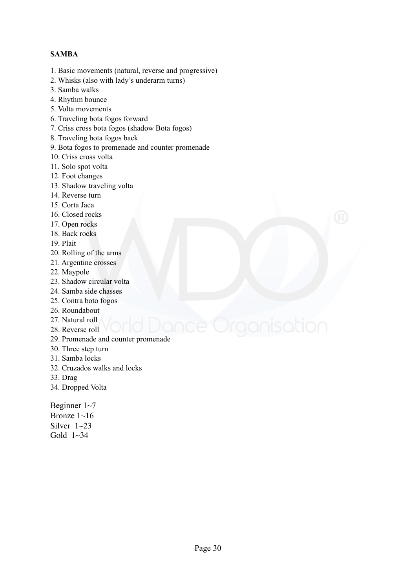#### **SAMBA**

- 1. Basic movements (natural, reverse and progressive)
- 2. Whisks (also with lady's underarm turns)
- 3. Samba walks
- 4. Rhythm bounce
- 5. Volta movements
- 6. Traveling bota fogos forward
- 7. Criss cross bota fogos (shadow Bota fogos)
- 8. Traveling bota fogos back
- 9. Bota fogos to promenade and counter promenade
- 10. Criss cross volta
- 11. Solo spot volta
- 12. Foot changes
- 13. Shadow traveling volta
- 14. Reverse turn
- 15. Corta Jaca
- 16. Closed rocks
- 17. Open rocks
- 18. Back rocks
- 19. Plait
- 20. Rolling of the arms
- 21. Argentine crosses
- 22. Maypole
- 23. Shadow circular volta
- 24. Samba side chasses
- 25. Contra boto fogos
- 26. Roundabout
- 27. Natural roll
- 28. Reverse roll
- 29. Promenade and counter promenade
- 30. Three step turn
- 31. Samba locks
- 32. Cruzados walks and locks
- 33. Drag
- 34. Dropped Volta

Beginner 1~7

Bronze 1~16 Silver  $1~23$ Gold  $1~34$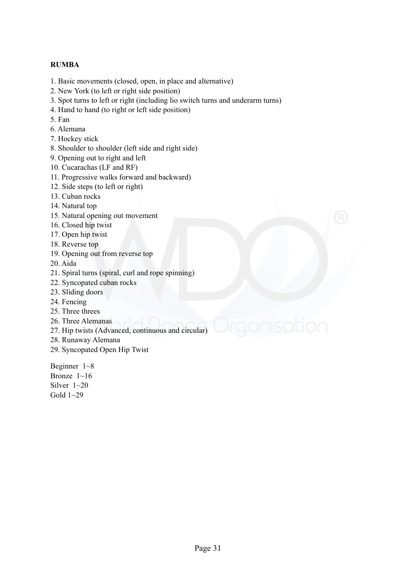#### **RUMBA**

- 1. Basic movements (closed, open, in place and alternative)
- 2. New York (to left or right side position)
- 3. Spot turns to left or right (including lio switch turns and underarm turns)
- 4. Hand to hand (to right or left side position)
- 5. Fan
- 6. Alemana
- 7. Hockey stick
- 8. Shoulder to shoulder (left side and right side)
- 9. Opening out to right and left
- 10. Cucarachas (LF and RF)
- 11. Progressive walks forward and backward)
- 12. Side steps (to left or right)
- 13. Cuban rocks
- 14. Natural top
- 15. Natural opening out movement
- 16. Closed hip twist
- 17. Open hip twist
- 18. Reverse top
- 19. Opening out from reverse top
- 20. Aida
- 21. Spiral turns (spiral, curl and rope spinning)
- 22. Syncopated cuban rocks
- 23. Sliding doors
- 24. Fencing
- 25. Three threes
- 26. Three Alemanas
- 27. Hip twists (Advanced, continuous and circular)
- 28. Runaway Alemana
- 29. Syncopated Open Hip Twist

Beginner 1~8 Bronze 1~16 Silver 1~20 Gold  $1~29$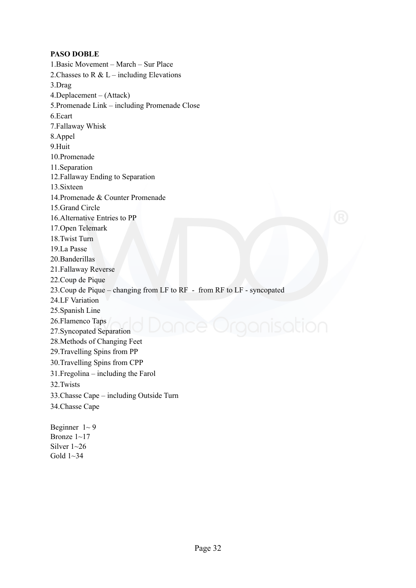#### **PASO DOBLE**

1.Basic Movement – March – Sur Place 2. Chasses to R & L – including Elevations 3.Drag 4.Deplacement – (Attack) 5.Promenade Link – including Promenade Close 6.Ecart 7.Fallaway Whisk 8.Appel 9.Huit 10.Promenade 11.Separation 12.Fallaway Ending to Separation 13.Sixteen 14.Promenade & Counter Promenade 15.Grand Circle 16.Alternative Entries to PP 17.Open Telemark 18.Twist Turn 19.La Passe 20.Banderillas 21.Fallaway Reverse 22.Coup de Pique 23.Coup de Pique – changing from LF to RF - from RF to LF - syncopated 24.LF Variation 25.Spanish Line 26.Flamenco Taps 27.Syncopated Separation 28.Methods of Changing Feet 29.Travelling Spins from PP 30.Travelling Spins from CPP 31.Fregolina – including the Farol 32.Twists 33.Chasse Cape – including Outside Turn 34.Chasse Cape Beginner  $1 \sim 9$ 

Bronze 1~17 Silver  $1 \sim 26$ Gold 1~34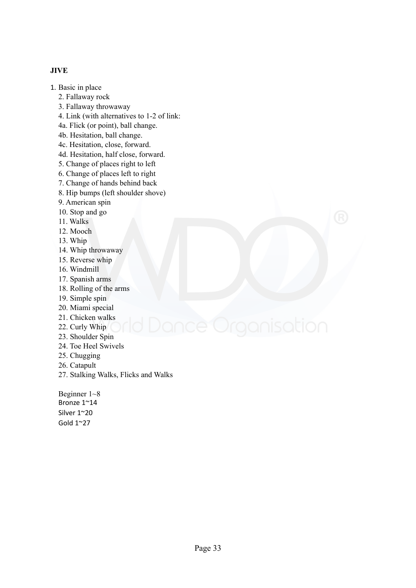#### **JIVE**

- 1. Basic in place
	- 2. Fallaway rock
	- 3. Fallaway throwaway
	- 4. Link (with alternatives to 1-2 of link:
	- 4a. Flick (or point), ball change.
	- 4b. Hesitation, ball change.
	- 4c. Hesitation, close, forward.
	- 4d. Hesitation, half close, forward.
	- 5. Change of places right to left
	- 6. Change of places left to right
	- 7. Change of hands behind back
	- 8. Hip bumps (left shoulder shove)
	- 9. American spin
	- 10. Stop and go
	- 11. Walks
	- 12. Mooch
	- 13. Whip
	- 14. Whip throwaway
	- 15. Reverse whip
	- 16. Windmill
	- 17. Spanish arms
	- 18. Rolling of the arms
	- 19. Simple spin
	- 20. Miami special
	- 21. Chicken walks
	- 22. Curly Whip
	- 23. Shoulder Spin
	- 24. Toe Heel Swivels
	- 25. Chugging
	- 26. Catapult
	- 27. Stalking Walks, Flicks and Walks

Beginner 1~8 Bronze 1~14 Silver 1~20 Gold 1~27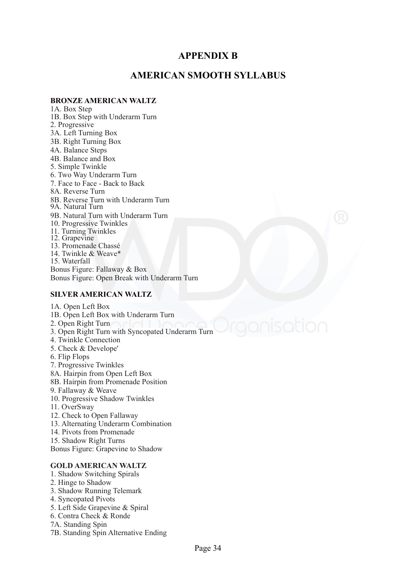#### **APPENDIX B**

#### **AMERICAN SMOOTH SYLLABUS**

#### **BRONZE AMERICAN WALTZ**

1A. Box Step 1B. Box Step with Underarm Turn 2. Progressive 3A. Left Turning Box 3B. Right Turning Box 4A. Balance Steps 4B. Balance and Box 5. Simple Twinkle 6. Two Way Underarm Turn 7. Face to Face - Back to Back 8A. Reverse Turn 8B. Reverse Turn with Underarm Turn 9A. Natural Turn 9B. Natural Turn with Underarm Turn 10. Progressive Twinkles 11. Turning Twinkles 12. Grapevine 13. Promenade Chassé 14. Twinkle & Weave\* 15. Waterfall Bonus Figure: Fallaway & Box Bonus Figure: Open Break with Underarm Turn

#### **SILVER AMERICAN WALTZ**

#### 1A. Open Left Box 1B. Open Left Box with Underarm Turn 2. Open Right Turn 3. Open Right Turn with Syncopated Underarm Turn 4. Twinkle Connection 5. Check & Develope' 6. Flip Flops 7. Progressive Twinkles 8A. Hairpin from Open Left Box 8B. Hairpin from Promenade Position 9. Fallaway & Weave 10. Progressive Shadow Twinkles 11. OverSway 12. Check to Open Fallaway 13. Alternating Underarm Combination 14. Pivots from Promenade 15. Shadow Right Turns Bonus Figure: Grapevine to Shadow **GOLD AMERICAN WALTZ**  1. Shadow Switching Spirals 2. Hinge to Shadow

- 3. Shadow Running Telemark
- 4. Syncopated Pivots
- 5. Left Side Grapevine & Spiral
- 6. Contra Check & Ronde
- 7A. Standing Spin
- 7B. Standing Spin Alternative Ending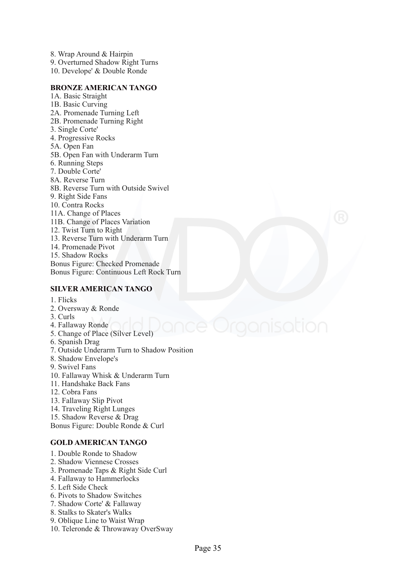8. Wrap Around & Hairpin 9. Overturned Shadow Right Turns 10. Develope' & Double Ronde

#### **BRONZE AMERICAN TANGO**

1A. Basic Straight 1B. Basic Curving 2A. Promenade Turning Left 2B. Promenade Turning Right 3. Single Corte' 4. Progressive Rocks 5A. Open Fan 5B. Open Fan with Underarm Turn 6. Running Steps 7. Double Corte' 8A. Reverse Turn 8B. Reverse Turn with Outside Swivel 9. Right Side Fans 10. Contra Rocks 11A. Change of Places 11B. Change of Places Variation 12. Twist Turn to Right 13. Reverse Turn with Underarm Turn 14. Promenade Pivot 15. Shadow Rocks Bonus Figure: Checked Promenade Bonus Figure: Continuous Left Rock Turn

#### **SILVER AMERICAN TANGO**

- 1. Flicks
- 2. Oversway & Ronde
- 3. Curls
- 4. Fallaway Ronde
- 5. Change of Place (Silver Level)
- 6. Spanish Drag
- 7. Outside Underarm Turn to Shadow Position
- 8. Shadow Envelope's
- 9. Swivel Fans
- 10. Fallaway Whisk & Underarm Turn
- 11. Handshake Back Fans
- 12. Cobra Fans
- 13. Fallaway Slip Pivot
- 14. Traveling Right Lunges
- 15. Shadow Reverse & Drag

Bonus Figure: Double Ronde & Curl

#### **GOLD AMERICAN TANGO**

- 1. Double Ronde to Shadow
- 2. Shadow Viennese Crosses
- 3. Promenade Taps & Right Side Curl
- 4. Fallaway to Hammerlocks
- 5. Left Side Check
- 6. Pivots to Shadow Switches
- 7. Shadow Corte' & Fallaway
- 8. Stalks to Skater's Walks
- 9. Oblique Line to Waist Wrap
- 10. Teleronde & Throwaway OverSway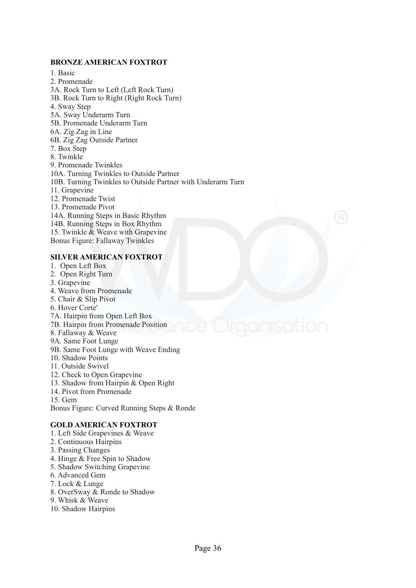#### **BRONZE AMERICAN FOXTROT**

1. Basic 2. Promenade 3A. Rock Turn to Left (Left Rock Turn) 3B. Rock Turn to Right (Right Rock Turn) 4. Sway Step 5A. Sway Underarm Turn 5B. Promenade Underarm Turn 6A. Zig Zag in Line 6B. Zig Zag Outside Partner 7. Box Step 8. Twinkle 9. Promenade Twinkles 10A. Turning Twinkles to Outside Partner 10B. Turning Twinkles to Outside Partner with Underarm Turn 11. Grapevine 12. Promenade Twist 13. Promenade Pivot 14A. Running Steps in Basic Rhythm 14B. Running Steps in Box Rhythm 15. Twinkle & Weave with Grapevine Bonus Figure: Fallaway Twinkles

#### **SILVER AMERICAN FOXTROT**

- 1. Open Left Box
- 2. Open Right Turn
- 3. Grapevine
- 4. Weave from Promenade
- 5. Chair & Slip Pivot
- 6. Hover Corte'
- 7A. Hairpin from Open Left Box
- 7B. Hairpin from Promenade Position
- 8. Fallaway & Weave
- 9A. Same Foot Lunge
- 9B. Same Foot Lunge with Weave Ending
- 10. Shadow Points
- 11. Outside Swivel
- 12. Check to Open Grapevine
- 13. Shadow from Hairpin & Open Right
- 14. Pivot from Promenade
- 15. Gem

Bonus Figure: Curved Running Steps & Ronde

#### **GOLD AMERICAN FOXTROT**

- 1. Left Side Grapevines & Weave
- 2. Continuous Hairpins
- 3. Passing Changes
- 4. Hinge & Free Spin to Shadow
- 5. Shadow Switching Grapevine
- 6. Advanced Gem
- 7. Lock & Lunge
- 8. OverSway & Ronde to Shadow
- 9. Whisk & Weave
- 10. Shadow Hairpins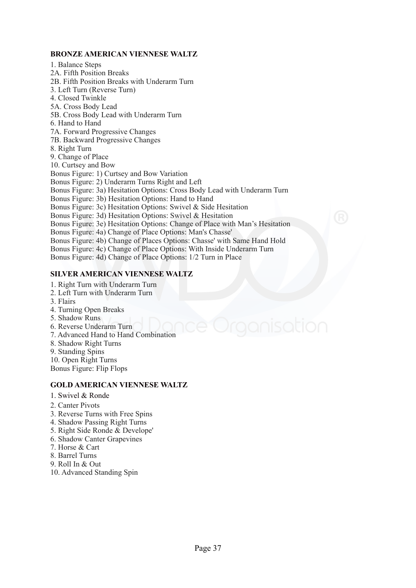#### **BRONZE AMERICAN VIENNESE WALTZ**

1. Balance Steps 2A. Fifth Position Breaks 2B. Fifth Position Breaks with Underarm Turn 3. Left Turn (Reverse Turn) 4. Closed Twinkle 5A. Cross Body Lead 5B. Cross Body Lead with Underarm Turn 6. Hand to Hand 7A. Forward Progressive Changes 7B. Backward Progressive Changes 8. Right Turn 9. Change of Place 10. Curtsey and Bow Bonus Figure: 1) Curtsey and Bow Variation Bonus Figure: 2) Underarm Turns Right and Left Bonus Figure: 3a) Hesitation Options: Cross Body Lead with Underarm Turn Bonus Figure: 3b) Hesitation Options: Hand to Hand Bonus Figure: 3c) Hesitation Options: Swivel & Side Hesitation Bonus Figure: 3d) Hesitation Options: Swivel & Hesitation Bonus Figure: 3e) Hesitation Options: Change of Place with Man's Hesitation Bonus Figure: 4a) Change of Place Options: Man's Chasse' Bonus Figure: 4b) Change of Places Options: Chasse' with Same Hand Hold Bonus Figure: 4c) Change of Place Options: With Inside Underarm Turn Bonus Figure: 4d) Change of Place Options: 1/2 Turn in Place

#### **SILVER AMERICAN VIENNESE WALTZ**

- 1. Right Turn with Underarm Turn
- 2. Left Turn with Underarm Turn
- 3. Flairs
- 4. Turning Open Breaks
- 5. Shadow Runs
- 6. Reverse Underarm Turn
- 7. Advanced Hand to Hand Combination
- 8. Shadow Right Turns
- 9. Standing Spins
- 10. Open Right Turns
- Bonus Figure: Flip Flops

#### **GOLD AMERICAN VIENNESE WALTZ**

- 1. Swivel & Ronde
- 2. Canter Pivots
- 3. Reverse Turns with Free Spins
- 4. Shadow Passing Right Turns
- 5. Right Side Ronde & Develope'
- 6. Shadow Canter Grapevines
- 7. Horse & Cart
- 8. Barrel Turns
- 9. Roll In & Out
- 10. Advanced Standing Spin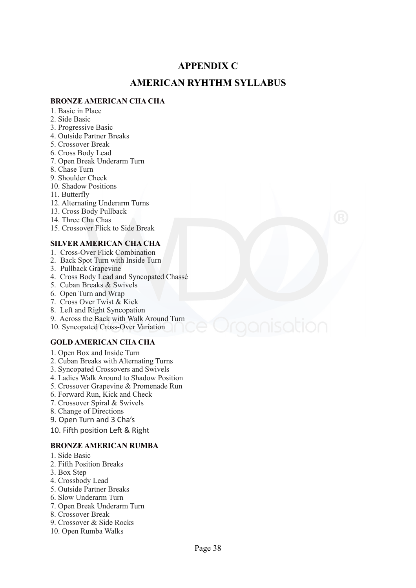#### **APPENDIX C**

#### **AMERICAN RYHTHM SYLLABUS**

#### **BRONZE AMERICAN CHA CHA**

- 1. Basic in Place
- 2. Side Basic
- 3. Progressive Basic
- 4. Outside Partner Breaks
- 5. Crossover Break
- 6. Cross Body Lead
- 7. Open Break Underarm Turn
- 8. Chase Turn
- 9. Shoulder Check
- 10. Shadow Positions
- 11. Butterfly
- 12. Alternating Underarm Turns
- 13. Cross Body Pullback
- 14. Three Cha Chas
- 15. Crossover Flick to Side Break

#### **SILVER AMERICAN CHA CHA**

- 1. Cross-Over Flick Combination
- 2. Back Spot Turn with Inside Turn
- 3. Pullback Grapevine
- 4. Cross Body Lead and Syncopated Chassé
- 5. Cuban Breaks & Swivels
- 6. Open Turn and Wrap
- 7. Cross Over Twist & Kick
- 8. Left and Right Syncopation
- 9. Across the Back with Walk Around Turn
- 10. Syncopated Cross-Over Variation

#### **GOLD AMERICAN CHA CHA**

- 1. Open Box and Inside Turn
- 2. Cuban Breaks with Alternating Turns
- 3. Syncopated Crossovers and Swivels
- 4. Ladies Walk Around to Shadow Position
- 5. Crossover Grapevine & Promenade Run
- 6. Forward Run, Kick and Check
- 7. Crossover Spiral & Swivels
- 8. Change of Directions
- 9. Open Turn and 3 Cha's

10. Fifth position Left & Right

#### **BRONZE AMERICAN RUMBA**

- 1. Side Basic
- 2. Fifth Position Breaks
- 3. Box Step
- 4. Crossbody Lead
- 5. Outside Partner Breaks
- 6. Slow Underarm Turn
- 7. Open Break Underarm Turn
- 8. Crossover Break
- 9. Crossover & Side Rocks
- 10. Open Rumba Walks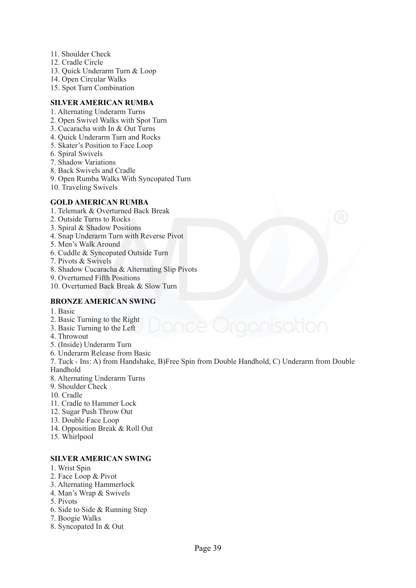- 11. Shoulder Check
- 12. Cradle Circle
- 13. Quick Underarm Turn & Loop
- 14. Open Circular Walks
- 15. Spot Turn Combination

#### **SILVER AMERICAN RUMBA**

- 1. Alternating Underarm Turns
- 2. Open Swivel Walks with Spot Turn
- 3. Cucaracha with In & Out Turns
- 4. Quick Underarm Turn and Rocks
- 5. Skater's Position to Face Loop
- 6. Spiral Swivels
- 7. Shadow Variations
- 8. Back Swivels and Cradle
- 9. Open Rumba Walks With Syncopated Turn
- 10. Traveling Swivels

#### **GOLD AMERICAN RUMBA**

- 1. Telemark & Overturned Back Break
- 2. Outside Turns to Rocks
- 3. Spiral & Shadow Positions
- 4. Snap Underarm Turn with Reverse Pivot
- 5. Men's Walk Around
- 6. Cuddle & Syncopated Outside Turn
- 7. Pivots & Swivels
- 8. Shadow Cucaracha & Alternating Slip Pivots
- 9. Overturned Fifth Positions
- 10. Overturned Back Break & Slow Turn

#### **BRONZE AMERICAN SWING**

- 1. Basic
- 2. Basic Turning to the Right
- 3. Basic Turning to the Left
- 4. Throwout
- 5. (Inside) Underarm Turn
- 6. Underarm Release from Basic
- 7. Tuck Ins: A) from Handshake, B)Free Spin from Double Handhold, C) Underarm from Double Handhold
- 8. Alternating Underarm Turns
- 9. Shoulder Check
- 10. Cradle
- 11. Cradle to Hammer Lock
- 12. Sugar Push Throw Out
- 13. Double Face Loop
- 14. Opposition Break & Roll Out
- 15. Whirlpool

#### **SILVER AMERICAN SWING**

- 1. Wrist Spin
- 2. Face Loop & Pivot
- 3. Alternating Hammerlock
- 4. Man's Wrap & Swivels
- 5. Pivots
- 6. Side to Side & Running Step
- 7. Boogie Walks
- 8. Syncopated In & Out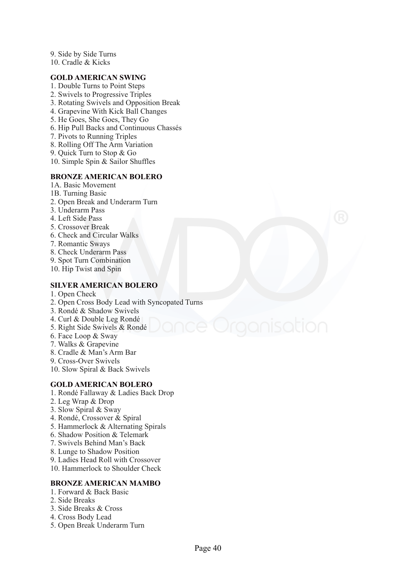9. Side by Side Turns

10. Cradle & Kicks

#### **GOLD AMERICAN SWING**

- 1. Double Turns to Point Steps
- 2. Swivels to Progressive Triples
- 3. Rotating Swivels and Opposition Break
- 4. Grapevine With Kick Ball Changes
- 5. He Goes, She Goes, They Go
- 6. Hip Pull Backs and Continuous Chassés
- 7. Pivots to Running Triples
- 8. Rolling Off The Arm Variation
- 9. Quick Turn to Stop & Go
- 10. Simple Spin & Sailor Shuffles

#### **BRONZE AMERICAN BOLERO**

- 1A. Basic Movement
- 1B. Turning Basic
- 2. Open Break and Underarm Turn
- 3. Underarm Pass
- 4. Left Side Pass
- 5. Crossover Break
- 6. Check and Circular Walks
- 7. Romantic Sways
- 8. Check Underarm Pass
- 9. Spot Turn Combination
- 10. Hip Twist and Spin

#### **SILVER AMERICAN BOLERO**

- 1. Open Check
- 2. Open Cross Body Lead with Syncopated Turns
- 3. Rondé & Shadow Swivels
- 4. Curl & Double Leg Rondé
- 5. Right Side Swivels & Rondé
- 6. Face Loop & Sway
- 7. Walks & Grapevine
- 8. Cradle & Man's Arm Bar
- 9. Cross-Over Swivels
- 10. Slow Spiral & Back Swivels

#### **GOLD AMERICAN BOLERO**

- 1. Rondé Fallaway & Ladies Back Drop
- 2. Leg Wrap & Drop
- 3. Slow Spiral & Sway
- 4. Rondé, Crossover & Spiral
- 5. Hammerlock & Alternating Spirals
- 6. Shadow Position & Telemark
- 7. Swivels Behind Man's Back
- 8. Lunge to Shadow Position
- 9. Ladies Head Roll with Crossover
- 10. Hammerlock to Shoulder Check

#### **BRONZE AMERICAN MAMBO**

- 1. Forward & Back Basic
- 2. Side Breaks
- 3. Side Breaks & Cross
- 4. Cross Body Lead
- 5. Open Break Underarm Turn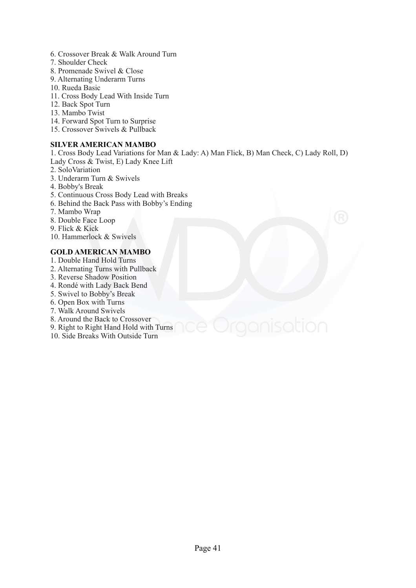- 6. Crossover Break & Walk Around Turn
- 7. Shoulder Check
- 8. Promenade Swivel & Close
- 9. Alternating Underarm Turns
- 10. Rueda Basic
- 11. Cross Body Lead With Inside Turn
- 12. Back Spot Turn
- 13. Mambo Twist
- 14. Forward Spot Turn to Surprise
- 15. Crossover Swivels & Pullback

#### **SILVER AMERICAN MAMBO**

1. Cross Body Lead Variations for Man & Lady: A) Man Flick, B) Man Check, C) Lady Roll, D) Lady Cross & Twist, E) Lady Knee Lift

- 2. SoloVariation
- 3. Underarm Turn & Swivels
- 4. Bobby's Break
- 5. Continuous Cross Body Lead with Breaks
- 6. Behind the Back Pass with Bobby's Ending
- 7. Mambo Wrap
- 8. Double Face Loop
- 9. Flick & Kick
- 10. Hammerlock & Swivels

#### **GOLD AMERICAN MAMBO**

- 1. Double Hand Hold Turns
- 2. Alternating Turns with Pullback
- 3. Reverse Shadow Position
- 4. Rondé with Lady Back Bend
- 5. Swivel to Bobby's Break
- 6. Open Box with Turns
- 7. Walk Around Swivels
- 8. Around the Back to Crossover
- 9. Right to Right Hand Hold with Turns
- 10. Side Breaks With Outside Turn